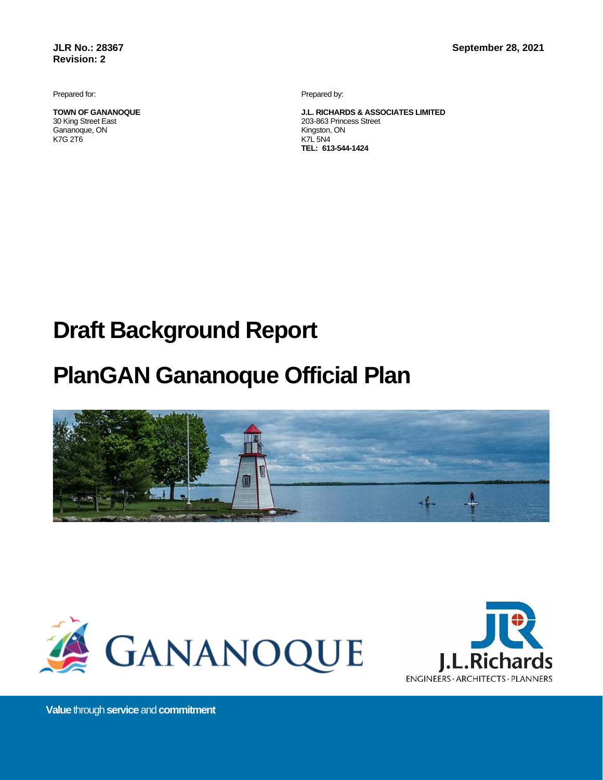**JLR No.: 28367 Revision: 2**

Prepared for:

**TOWN OF GANANOQUE** 30 King Street East Gananoque, ON K7G 2T6

Prepared by:

**J.L. RICHARDS & ASSOCIATES LIMITED** 203-863 Princess Street Kingston, ON K7L 5N4 **TEL: 613-544-1424**

# **Draft Background Report**

# **PlanGAN Gananoque Official Plan**







**Value** through**service** and**commitment**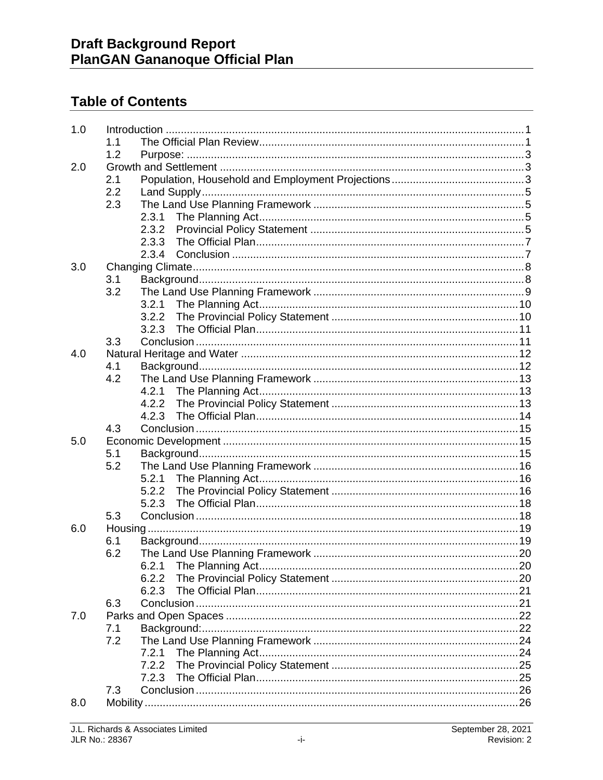# **Table of Contents**

| 1.0 |              |  |
|-----|--------------|--|
|     | 1.1          |  |
|     | 1.2          |  |
| 2.0 |              |  |
|     | 2.1          |  |
|     | 2.2          |  |
|     | 2.3          |  |
|     | 2.3.1        |  |
|     | 2.3.2        |  |
|     | 2.3.3        |  |
|     | 2.3.4        |  |
| 3.0 |              |  |
|     | 3.1          |  |
|     | 3.2          |  |
|     |              |  |
|     |              |  |
|     |              |  |
|     | 3.3          |  |
| 4.0 |              |  |
|     | 4.1          |  |
|     | 4.2          |  |
|     | 4.2.1        |  |
|     | 4.2.2        |  |
|     |              |  |
|     | 4.3          |  |
| 5.0 |              |  |
|     | 5.1          |  |
|     | 5.2          |  |
|     |              |  |
|     | 5.2.2        |  |
|     | 5.2.3<br>5.3 |  |
| 6.0 |              |  |
|     | 6.1          |  |
|     | 6.2          |  |
|     |              |  |
|     | 6.2.2        |  |
|     | 6.2.3        |  |
|     | 6.3          |  |
| 7.0 |              |  |
|     | 7.1          |  |
|     | 7.2          |  |
|     | 7.2.1        |  |
|     |              |  |
|     | 7.2.3        |  |
|     | 7.3          |  |
| 8.0 |              |  |
|     |              |  |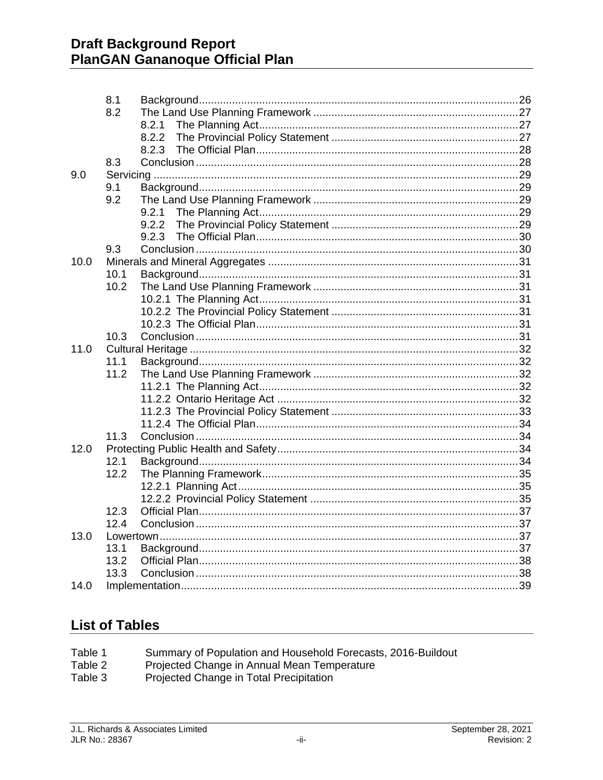|      | 8.1  |       |  |
|------|------|-------|--|
|      | 8.2  |       |  |
|      |      | 8.2.1 |  |
|      |      |       |  |
|      |      |       |  |
|      | 8.3  |       |  |
| 9.0  |      |       |  |
|      | 9.1  |       |  |
|      | 9.2  |       |  |
|      |      |       |  |
|      |      |       |  |
|      | 9.3  |       |  |
| 10.0 |      |       |  |
|      | 10.1 |       |  |
|      | 10.2 |       |  |
|      |      |       |  |
|      |      |       |  |
|      |      |       |  |
|      | 10.3 |       |  |
| 11.0 |      |       |  |
|      | 11.1 |       |  |
|      | 11.2 |       |  |
|      |      |       |  |
|      |      |       |  |
|      |      |       |  |
|      |      |       |  |
|      | 11.3 |       |  |
| 12.0 |      |       |  |
|      | 12.1 |       |  |
|      | 12.2 |       |  |
|      |      |       |  |
|      | 12.3 |       |  |
|      | 12.4 |       |  |
| 13.0 |      |       |  |
|      | 13.1 |       |  |
|      | 13.2 |       |  |
|      | 13.3 |       |  |
| 14.0 |      |       |  |
|      |      |       |  |

# **List of Tables**

| Table 1 |  |  | Summary of Population and Household Forecasts, 2016-Buildout |  |
|---------|--|--|--------------------------------------------------------------|--|
|         |  |  |                                                              |  |

- Table 2 Projected Change in Annual Mean Temperature
- Table 3 Projected Change in Total Precipitation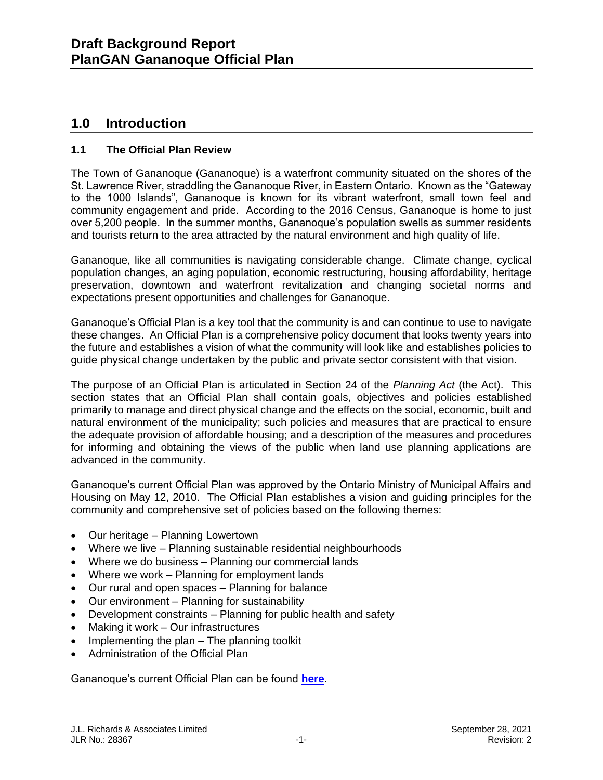# **1.0 Introduction**

# **1.1 The Official Plan Review**

The Town of Gananoque (Gananoque) is a waterfront community situated on the shores of the St. Lawrence River, straddling the Gananoque River, in Eastern Ontario. Known as the "Gateway to the 1000 Islands", Gananoque is known for its vibrant waterfront, small town feel and community engagement and pride. According to the 2016 Census, Gananoque is home to just over 5,200 people. In the summer months, Gananoque's population swells as summer residents and tourists return to the area attracted by the natural environment and high quality of life.

Gananoque, like all communities is navigating considerable change. Climate change, cyclical population changes, an aging population, economic restructuring, housing affordability, heritage preservation, downtown and waterfront revitalization and changing societal norms and expectations present opportunities and challenges for Gananoque.

Gananoque's Official Plan is a key tool that the community is and can continue to use to navigate these changes. An Official Plan is a comprehensive policy document that looks twenty years into the future and establishes a vision of what the community will look like and establishes policies to guide physical change undertaken by the public and private sector consistent with that vision.

The purpose of an Official Plan is articulated in Section 24 of the *Planning Act* (the Act). This section states that an Official Plan shall contain goals, objectives and policies established primarily to manage and direct physical change and the effects on the social, economic, built and natural environment of the municipality; such policies and measures that are practical to ensure the adequate provision of affordable housing; and a description of the measures and procedures for informing and obtaining the views of the public when land use planning applications are advanced in the community.

Gananoque's current Official Plan was approved by the Ontario Ministry of Municipal Affairs and Housing on May 12, 2010. The Official Plan establishes a vision and guiding principles for the community and comprehensive set of policies based on the following themes:

- Our heritage Planning Lowertown
- Where we live Planning sustainable residential neighbourhoods
- Where we do business Planning our commercial lands
- Where we work Planning for employment lands
- Our rural and open spaces Planning for balance
- Our environment Planning for sustainability
- Development constraints Planning for public health and safety
- Making it work Our infrastructures
- Implementing the plan The planning toolkit
- Administration of the Official Plan

Gananoque's current Official Plan can be found **[here](https://www.gananoque.ca/sites/gananoque.ca/files/Official-Plan.pdf)**.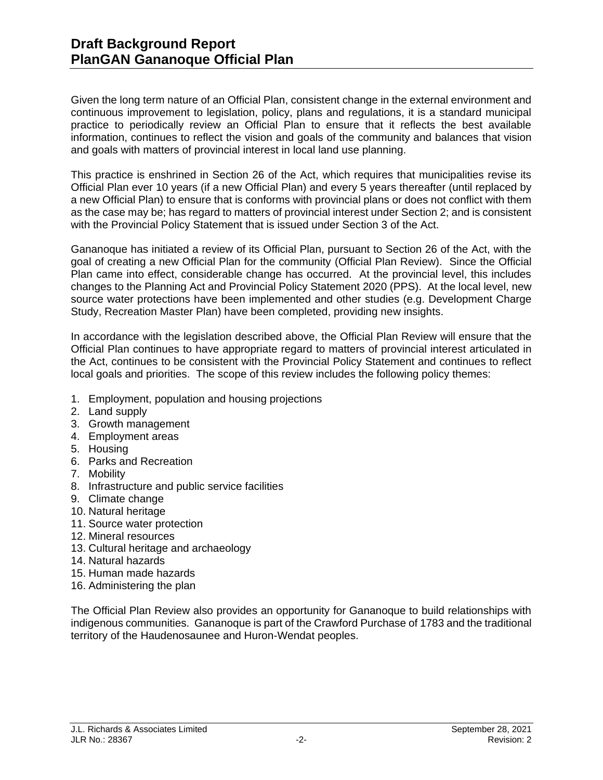Given the long term nature of an Official Plan, consistent change in the external environment and continuous improvement to legislation, policy, plans and regulations, it is a standard municipal practice to periodically review an Official Plan to ensure that it reflects the best available information, continues to reflect the vision and goals of the community and balances that vision and goals with matters of provincial interest in local land use planning.

This practice is enshrined in Section 26 of the Act, which requires that municipalities revise its Official Plan ever 10 years (if a new Official Plan) and every 5 years thereafter (until replaced by a new Official Plan) to ensure that is conforms with provincial plans or does not conflict with them as the case may be; has regard to matters of provincial interest under Section 2; and is consistent with the Provincial Policy Statement that is issued under Section 3 of the Act.

Gananoque has initiated a review of its Official Plan, pursuant to Section 26 of the Act, with the goal of creating a new Official Plan for the community (Official Plan Review). Since the Official Plan came into effect, considerable change has occurred. At the provincial level, this includes changes to the Planning Act and Provincial Policy Statement 2020 (PPS). At the local level, new source water protections have been implemented and other studies (e.g. Development Charge Study, Recreation Master Plan) have been completed, providing new insights.

In accordance with the legislation described above, the Official Plan Review will ensure that the Official Plan continues to have appropriate regard to matters of provincial interest articulated in the Act, continues to be consistent with the Provincial Policy Statement and continues to reflect local goals and priorities. The scope of this review includes the following policy themes:

- 1. Employment, population and housing projections
- 2. Land supply
- 3. Growth management
- 4. Employment areas
- 5. Housing
- 6. Parks and Recreation
- 7. Mobility
- 8. Infrastructure and public service facilities
- 9. Climate change
- 10. Natural heritage
- 11. Source water protection
- 12. Mineral resources
- 13. Cultural heritage and archaeology
- 14. Natural hazards
- 15. Human made hazards
- 16. Administering the plan

The Official Plan Review also provides an opportunity for Gananoque to build relationships with indigenous communities. Gananoque is part of the Crawford Purchase of 1783 and the traditional territory of the Haudenosaunee and Huron-Wendat peoples.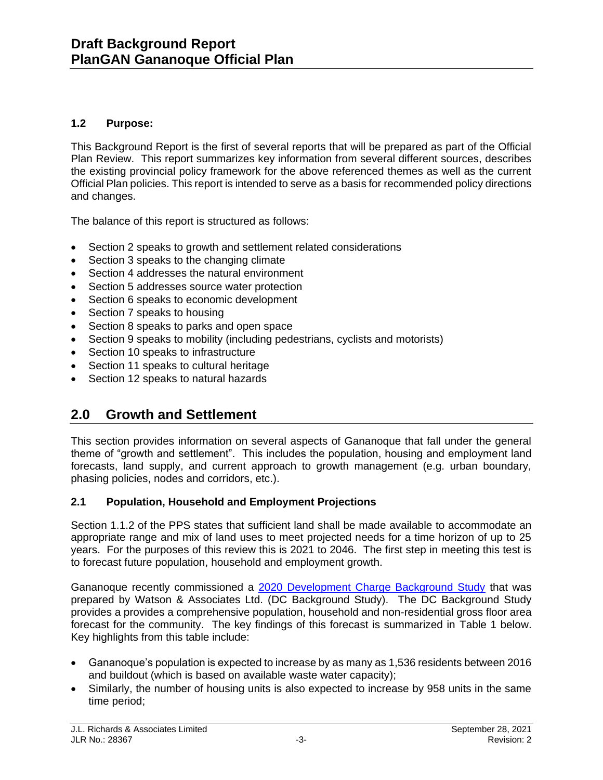# **1.2 Purpose:**

This Background Report is the first of several reports that will be prepared as part of the Official Plan Review. This report summarizes key information from several different sources, describes the existing provincial policy framework for the above referenced themes as well as the current Official Plan policies. This report is intended to serve as a basis for recommended policy directions and changes.

The balance of this report is structured as follows:

- Section 2 speaks to growth and settlement related considerations
- Section 3 speaks to the changing climate
- Section 4 addresses the natural environment
- Section 5 addresses source water protection
- Section 6 speaks to economic development
- Section 7 speaks to housing
- Section 8 speaks to parks and open space
- Section 9 speaks to mobility (including pedestrians, cyclists and motorists)
- Section 10 speaks to infrastructure
- Section 11 speaks to cultural heritage
- Section 12 speaks to natural hazards

# **2.0 Growth and Settlement**

This section provides information on several aspects of Gananoque that fall under the general theme of "growth and settlement". This includes the population, housing and employment land forecasts, land supply, and current approach to growth management (e.g. urban boundary, phasing policies, nodes and corridors, etc.).

# **2.1 Population, Household and Employment Projections**

Section 1.1.2 of the PPS states that sufficient land shall be made available to accommodate an appropriate range and mix of land uses to meet projected needs for a time horizon of up to 25 years. For the purposes of this review this is 2021 to 2046. The first step in meeting this test is to forecast future population, household and employment growth.

Gananoque recently commissioned a [2020 Development Charge Background Study](https://www.gananoque.ca/sites/gananoque.ca/files/Gananoque%202020%20-%20DC%20Background%20Study.pdf) that was prepared by Watson & Associates Ltd. (DC Background Study). The DC Background Study provides a provides a comprehensive population, household and non-residential gross floor area forecast for the community. The key findings of this forecast is summarized in Table 1 below. Key highlights from this table include:

- Gananoque's population is expected to increase by as many as 1,536 residents between 2016 and buildout (which is based on available waste water capacity);
- Similarly, the number of housing units is also expected to increase by 958 units in the same time period;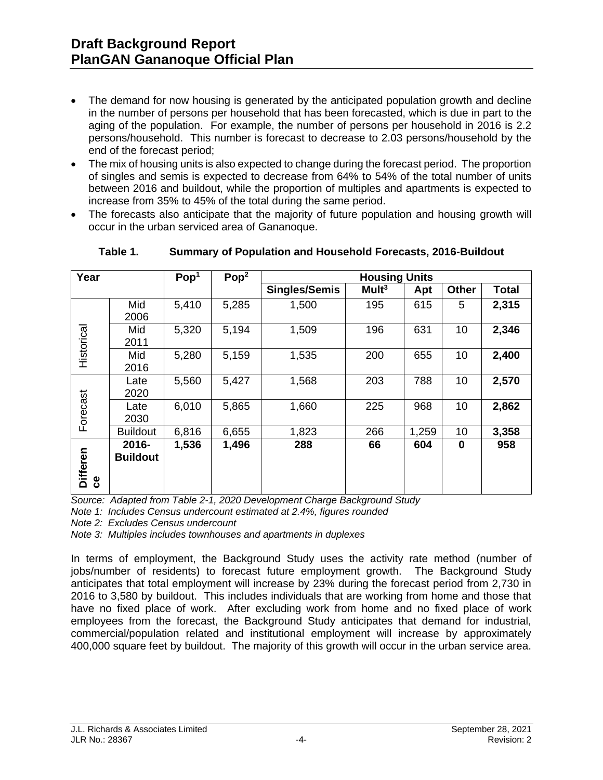- The demand for now housing is generated by the anticipated population growth and decline in the number of persons per household that has been forecasted, which is due in part to the aging of the population. For example, the number of persons per household in 2016 is 2.2 persons/household. This number is forecast to decrease to 2.03 persons/household by the end of the forecast period;
- The mix of housing units is also expected to change during the forecast period. The proportion of singles and semis is expected to decrease from 64% to 54% of the total number of units between 2016 and buildout, while the proportion of multiples and apartments is expected to increase from 35% to 45% of the total during the same period.
- The forecasts also anticipate that the majority of future population and housing growth will occur in the urban serviced area of Gananoque.

| Year                   |                          | Pop <sup>1</sup> | Pop <sup>2</sup> | <b>Housing Units</b> |                   |       |              |              |
|------------------------|--------------------------|------------------|------------------|----------------------|-------------------|-------|--------------|--------------|
|                        |                          |                  |                  | <b>Singles/Semis</b> | Mult <sup>3</sup> | Apt   | <b>Other</b> | <b>Total</b> |
|                        | Mid<br>2006              | 5,410            | 5,285            | 1,500                | 195               | 615   | 5            | 2,315        |
| Historical             | Mid<br>2011              | 5,320            | 5,194            | 1,509                | 196               | 631   | 10           | 2,346        |
|                        | Mid<br>2016              | 5,280            | 5,159            | 1,535                | 200               | 655   | 10           | 2,400        |
| Forecast               | Late<br>2020             | 5,560            | 5,427            | 1,568                | 203               | 788   | 10           | 2,570        |
|                        | Late<br>2030             | 6,010            | 5,865            | 1,660                | 225               | 968   | 10           | 2,862        |
|                        | <b>Buildout</b>          | 6,816            | 6,655            | 1,823                | 266               | 1,259 | 10           | 3,358        |
| <b>Differen</b><br>ပ္ပ | 2016-<br><b>Buildout</b> | 1,536            | 1,496            | 288                  | 66                | 604   | $\bf{0}$     | 958          |

**Table 1. Summary of Population and Household Forecasts, 2016-Buildout**

*Source: Adapted from Table 2-1, 2020 Development Charge Background Study*

*Note 1: Includes Census undercount estimated at 2.4%, figures rounded*

*Note 2: Excludes Census undercount*

*Note 3: Multiples includes townhouses and apartments in duplexes*

In terms of employment, the Background Study uses the activity rate method (number of jobs/number of residents) to forecast future employment growth. The Background Study anticipates that total employment will increase by 23% during the forecast period from 2,730 in 2016 to 3,580 by buildout. This includes individuals that are working from home and those that have no fixed place of work. After excluding work from home and no fixed place of work employees from the forecast, the Background Study anticipates that demand for industrial, commercial/population related and institutional employment will increase by approximately 400,000 square feet by buildout. The majority of this growth will occur in the urban service area.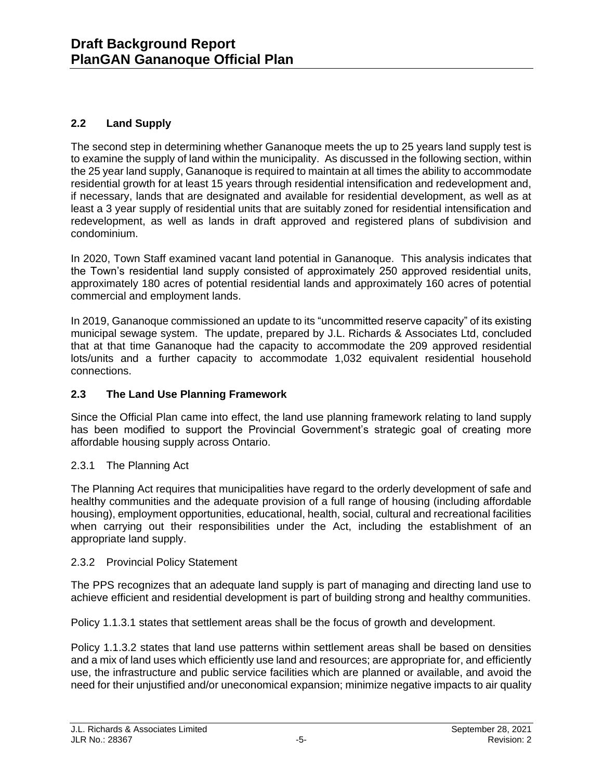# **2.2 Land Supply**

The second step in determining whether Gananoque meets the up to 25 years land supply test is to examine the supply of land within the municipality. As discussed in the following section, within the 25 year land supply, Gananoque is required to maintain at all times the ability to accommodate residential growth for at least 15 years through residential intensification and redevelopment and, if necessary, lands that are designated and available for residential development, as well as at least a 3 year supply of residential units that are suitably zoned for residential intensification and redevelopment, as well as lands in draft approved and registered plans of subdivision and condominium.

In 2020, Town Staff examined vacant land potential in Gananoque. This analysis indicates that the Town's residential land supply consisted of approximately 250 approved residential units, approximately 180 acres of potential residential lands and approximately 160 acres of potential commercial and employment lands.

In 2019, Gananoque commissioned an update to its "uncommitted reserve capacity" of its existing municipal sewage system. The update, prepared by J.L. Richards & Associates Ltd, concluded that at that time Gananoque had the capacity to accommodate the 209 approved residential lots/units and a further capacity to accommodate 1,032 equivalent residential household connections.

# **2.3 The Land Use Planning Framework**

Since the Official Plan came into effect, the land use planning framework relating to land supply has been modified to support the Provincial Government's strategic goal of creating more affordable housing supply across Ontario.

# 2.3.1 The Planning Act

The Planning Act requires that municipalities have regard to the orderly development of safe and healthy communities and the adequate provision of a full range of housing (including affordable housing), employment opportunities, educational, health, social, cultural and recreational facilities when carrying out their responsibilities under the Act, including the establishment of an appropriate land supply.

# 2.3.2 Provincial Policy Statement

The PPS recognizes that an adequate land supply is part of managing and directing land use to achieve efficient and residential development is part of building strong and healthy communities.

Policy 1.1.3.1 states that settlement areas shall be the focus of growth and development.

Policy 1.1.3.2 states that land use patterns within settlement areas shall be based on densities and a mix of land uses which efficiently use land and resources; are appropriate for, and efficiently use, the infrastructure and public service facilities which are planned or available, and avoid the need for their unjustified and/or uneconomical expansion; minimize negative impacts to air quality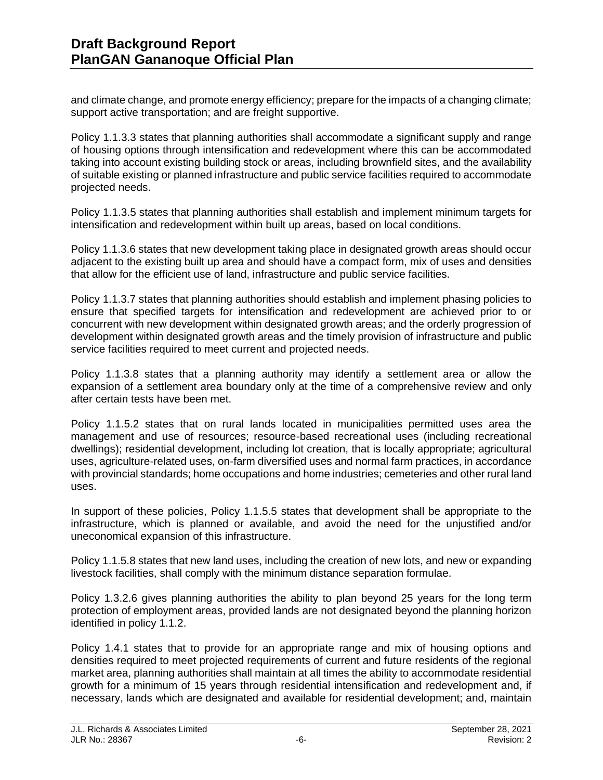and climate change, and promote energy efficiency; prepare for the impacts of a changing climate; support active transportation; and are freight supportive.

Policy 1.1.3.3 states that planning authorities shall accommodate a significant supply and range of housing options through intensification and redevelopment where this can be accommodated taking into account existing building stock or areas, including brownfield sites, and the availability of suitable existing or planned infrastructure and public service facilities required to accommodate projected needs.

Policy 1.1.3.5 states that planning authorities shall establish and implement minimum targets for intensification and redevelopment within built up areas, based on local conditions.

Policy 1.1.3.6 states that new development taking place in designated growth areas should occur adjacent to the existing built up area and should have a compact form, mix of uses and densities that allow for the efficient use of land, infrastructure and public service facilities.

Policy 1.1.3.7 states that planning authorities should establish and implement phasing policies to ensure that specified targets for intensification and redevelopment are achieved prior to or concurrent with new development within designated growth areas; and the orderly progression of development within designated growth areas and the timely provision of infrastructure and public service facilities required to meet current and projected needs.

Policy 1.1.3.8 states that a planning authority may identify a settlement area or allow the expansion of a settlement area boundary only at the time of a comprehensive review and only after certain tests have been met.

Policy 1.1.5.2 states that on rural lands located in municipalities permitted uses area the management and use of resources; resource-based recreational uses (including recreational dwellings); residential development, including lot creation, that is locally appropriate; agricultural uses, agriculture-related uses, on-farm diversified uses and normal farm practices, in accordance with provincial standards; home occupations and home industries; cemeteries and other rural land uses.

In support of these policies, Policy 1.1.5.5 states that development shall be appropriate to the infrastructure, which is planned or available, and avoid the need for the unjustified and/or uneconomical expansion of this infrastructure.

Policy 1.1.5.8 states that new land uses, including the creation of new lots, and new or expanding livestock facilities, shall comply with the minimum distance separation formulae.

Policy 1.3.2.6 gives planning authorities the ability to plan beyond 25 years for the long term protection of employment areas, provided lands are not designated beyond the planning horizon identified in policy 1.1.2.

Policy 1.4.1 states that to provide for an appropriate range and mix of housing options and densities required to meet projected requirements of current and future residents of the regional market area, planning authorities shall maintain at all times the ability to accommodate residential growth for a minimum of 15 years through residential intensification and redevelopment and, if necessary, lands which are designated and available for residential development; and, maintain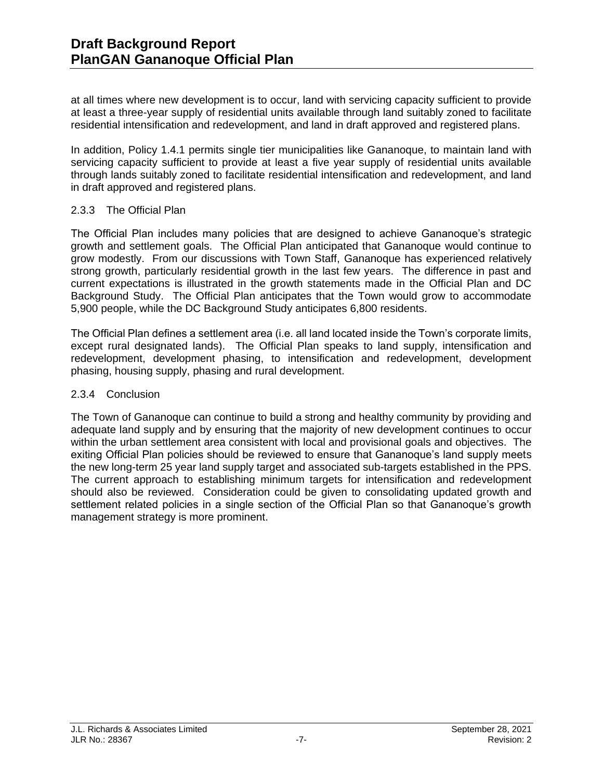at all times where new development is to occur, land with servicing capacity sufficient to provide at least a three-year supply of residential units available through land suitably zoned to facilitate residential intensification and redevelopment, and land in draft approved and registered plans.

In addition, Policy 1.4.1 permits single tier municipalities like Gananoque, to maintain land with servicing capacity sufficient to provide at least a five year supply of residential units available through lands suitably zoned to facilitate residential intensification and redevelopment, and land in draft approved and registered plans.

### 2.3.3 The Official Plan

The Official Plan includes many policies that are designed to achieve Gananoque's strategic growth and settlement goals. The Official Plan anticipated that Gananoque would continue to grow modestly. From our discussions with Town Staff, Gananoque has experienced relatively strong growth, particularly residential growth in the last few years. The difference in past and current expectations is illustrated in the growth statements made in the Official Plan and DC Background Study. The Official Plan anticipates that the Town would grow to accommodate 5,900 people, while the DC Background Study anticipates 6,800 residents.

The Official Plan defines a settlement area (i.e. all land located inside the Town's corporate limits, except rural designated lands). The Official Plan speaks to land supply, intensification and redevelopment, development phasing, to intensification and redevelopment, development phasing, housing supply, phasing and rural development.

### 2.3.4 Conclusion

The Town of Gananoque can continue to build a strong and healthy community by providing and adequate land supply and by ensuring that the majority of new development continues to occur within the urban settlement area consistent with local and provisional goals and objectives. The exiting Official Plan policies should be reviewed to ensure that Gananoque's land supply meets the new long-term 25 year land supply target and associated sub-targets established in the PPS. The current approach to establishing minimum targets for intensification and redevelopment should also be reviewed. Consideration could be given to consolidating updated growth and settlement related policies in a single section of the Official Plan so that Gananoque's growth management strategy is more prominent.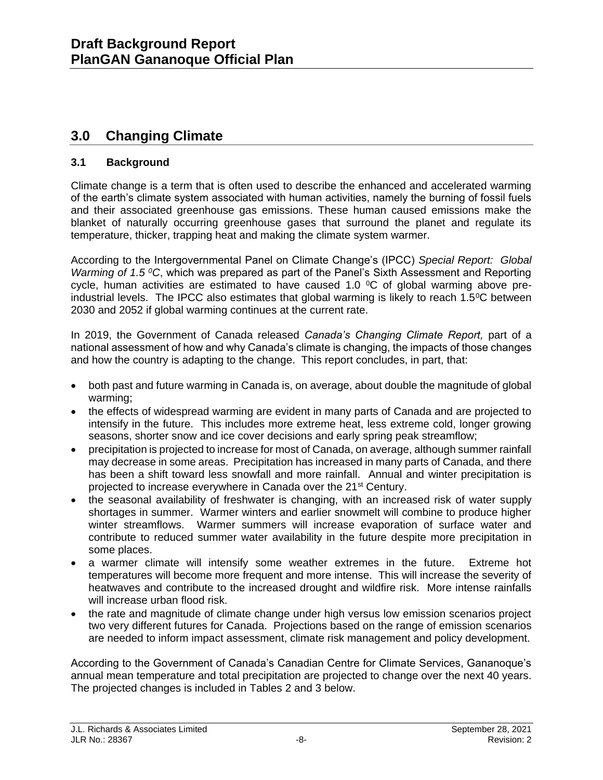# **3.0 Changing Climate**

# **3.1 Background**

Climate change is a term that is often used to describe the enhanced and accelerated warming of the earth's climate system associated with human activities, namely the burning of fossil fuels and their associated greenhouse gas emissions. These human caused emissions make the blanket of naturally occurring greenhouse gases that surround the planet and regulate its temperature, thicker, trapping heat and making the climate system warmer.

According to the Intergovernmental Panel on Climate Change's (IPCC) *Special Report: Global Warming of 1.5 <sup>0</sup>C*, which was prepared as part of the Panel's Sixth Assessment and Reporting cycle, human activities are estimated to have caused 1.0  $\degree$ C of global warming above preindustrial levels. The IPCC also estimates that global warming is likely to reach  $1.5^{\circ}$ C between 2030 and 2052 if global warming continues at the current rate.

In 2019, the Government of Canada released *Canada's Changing Climate Report,* part of a national assessment of how and why Canada's climate is changing, the impacts of those changes and how the country is adapting to the change. This report concludes, in part, that:

- both past and future warming in Canada is, on average, about double the magnitude of global warming;
- the effects of widespread warming are evident in many parts of Canada and are projected to intensify in the future. This includes more extreme heat, less extreme cold, longer growing seasons, shorter snow and ice cover decisions and early spring peak streamflow;
- precipitation is projected to increase for most of Canada, on average, although summer rainfall may decrease in some areas. Precipitation has increased in many parts of Canada, and there has been a shift toward less snowfall and more rainfall. Annual and winter precipitation is projected to increase everywhere in Canada over the 21<sup>st</sup> Century.
- the seasonal availability of freshwater is changing, with an increased risk of water supply shortages in summer. Warmer winters and earlier snowmelt will combine to produce higher winter streamflows. Warmer summers will increase evaporation of surface water and contribute to reduced summer water availability in the future despite more precipitation in some places.
- a warmer climate will intensify some weather extremes in the future. Extreme hot temperatures will become more frequent and more intense. This will increase the severity of heatwaves and contribute to the increased drought and wildfire risk. More intense rainfalls will increase urban flood risk.
- the rate and magnitude of climate change under high versus low emission scenarios project two very different futures for Canada. Projections based on the range of emission scenarios are needed to inform impact assessment, climate risk management and policy development.

According to the Government of Canada's Canadian Centre for Climate Services, Gananoque's annual mean temperature and total precipitation are projected to change over the next 40 years. The projected changes is included in Tables 2 and 3 below.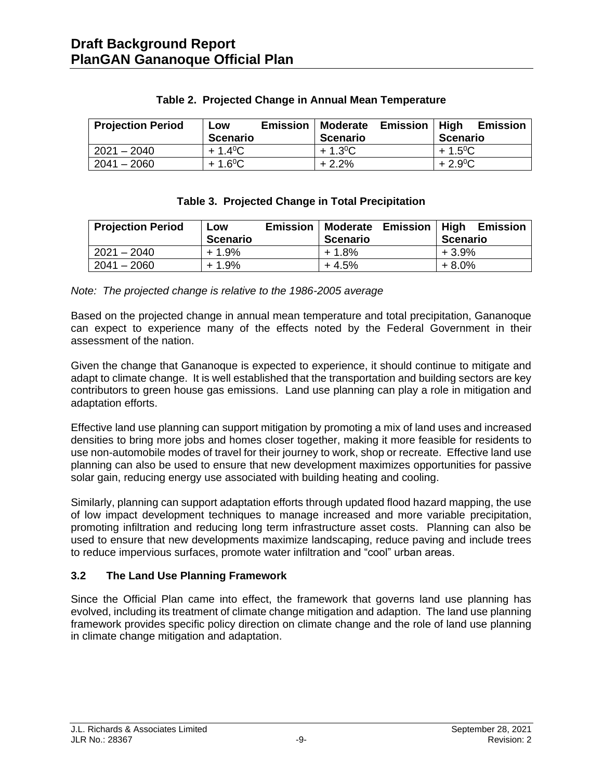| <b>Projection Period</b> | <b>Emission</b><br>Low | <b>Emission</b><br>  Moderate | High<br><b>Emission</b> |
|--------------------------|------------------------|-------------------------------|-------------------------|
|                          | Scenario               | <b>Scenario</b>               | <b>Scenario</b>         |
| $2021 - 2040$            | $+1.4^{\circ}C$        | $+1.3^{0}C$                   | $+1.5$ <sup>o</sup> C   |
| $2041 - 2060$            | $+1.6^{\circ}C$        | $+2.2%$                       | $+2.9^{\circ}C$         |

### **Table 2. Projected Change in Annual Mean Temperature**

# **Table 3. Projected Change in Total Precipitation**

| <b>Projection Period</b> | LOW<br><b>Scenario</b> | <b>Emission</b> | <b>Scenario</b> | <b>Moderate Emission</b> | High<br><b>Scenario</b> | Emission |
|--------------------------|------------------------|-----------------|-----------------|--------------------------|-------------------------|----------|
| $2021 - 2040$            | $+1.9%$                |                 | + 1.8%          |                          | $+3.9%$                 |          |
| $2041 - 2060$            | $+1.9%$                |                 | $+4.5%$         |                          | $+8.0%$                 |          |

*Note: The projected change is relative to the 1986-2005 average*

Based on the projected change in annual mean temperature and total precipitation, Gananoque can expect to experience many of the effects noted by the Federal Government in their assessment of the nation.

Given the change that Gananoque is expected to experience, it should continue to mitigate and adapt to climate change. It is well established that the transportation and building sectors are key contributors to green house gas emissions. Land use planning can play a role in mitigation and adaptation efforts.

Effective land use planning can support mitigation by promoting a mix of land uses and increased densities to bring more jobs and homes closer together, making it more feasible for residents to use non-automobile modes of travel for their journey to work, shop or recreate. Effective land use planning can also be used to ensure that new development maximizes opportunities for passive solar gain, reducing energy use associated with building heating and cooling.

Similarly, planning can support adaptation efforts through updated flood hazard mapping, the use of low impact development techniques to manage increased and more variable precipitation, promoting infiltration and reducing long term infrastructure asset costs. Planning can also be used to ensure that new developments maximize landscaping, reduce paving and include trees to reduce impervious surfaces, promote water infiltration and "cool" urban areas.

# **3.2 The Land Use Planning Framework**

Since the Official Plan came into effect, the framework that governs land use planning has evolved, including its treatment of climate change mitigation and adaption. The land use planning framework provides specific policy direction on climate change and the role of land use planning in climate change mitigation and adaptation.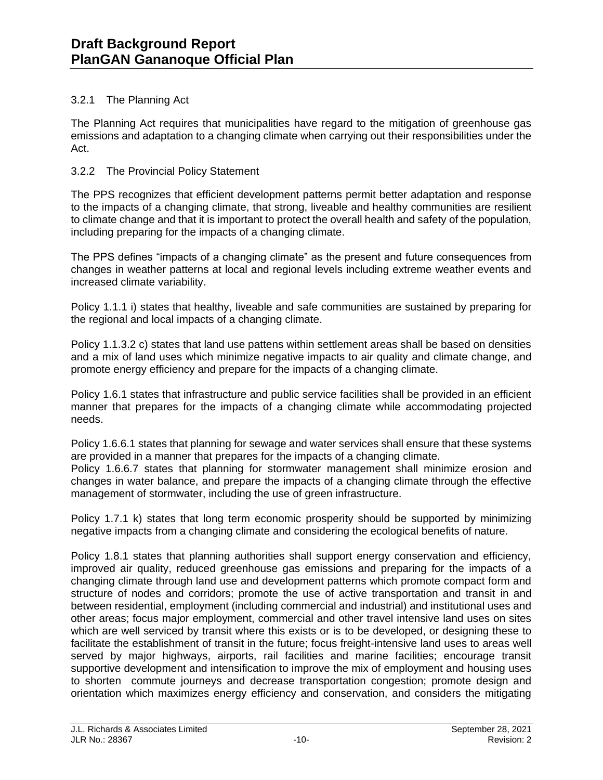### 3.2.1 The Planning Act

The Planning Act requires that municipalities have regard to the mitigation of greenhouse gas emissions and adaptation to a changing climate when carrying out their responsibilities under the Act.

### 3.2.2 The Provincial Policy Statement

The PPS recognizes that efficient development patterns permit better adaptation and response to the impacts of a changing climate, that strong, liveable and healthy communities are resilient to climate change and that it is important to protect the overall health and safety of the population, including preparing for the impacts of a changing climate.

The PPS defines "impacts of a changing climate" as the present and future consequences from changes in weather patterns at local and regional levels including extreme weather events and increased climate variability.

Policy 1.1.1 i) states that healthy, liveable and safe communities are sustained by preparing for the regional and local impacts of a changing climate.

Policy 1.1.3.2 c) states that land use pattens within settlement areas shall be based on densities and a mix of land uses which minimize negative impacts to air quality and climate change, and promote energy efficiency and prepare for the impacts of a changing climate.

Policy 1.6.1 states that infrastructure and public service facilities shall be provided in an efficient manner that prepares for the impacts of a changing climate while accommodating projected needs.

Policy 1.6.6.1 states that planning for sewage and water services shall ensure that these systems are provided in a manner that prepares for the impacts of a changing climate.

Policy 1.6.6.7 states that planning for stormwater management shall minimize erosion and changes in water balance, and prepare the impacts of a changing climate through the effective management of stormwater, including the use of green infrastructure.

Policy 1.7.1 k) states that long term economic prosperity should be supported by minimizing negative impacts from a changing climate and considering the ecological benefits of nature.

Policy 1.8.1 states that planning authorities shall support energy conservation and efficiency, improved air quality, reduced greenhouse gas emissions and preparing for the impacts of a changing climate through land use and development patterns which promote compact form and structure of nodes and corridors; promote the use of active transportation and transit in and between residential, employment (including commercial and industrial) and institutional uses and other areas; focus major employment, commercial and other travel intensive land uses on sites which are well serviced by transit where this exists or is to be developed, or designing these to facilitate the establishment of transit in the future; focus freight-intensive land uses to areas well served by major highways, airports, rail facilities and marine facilities; encourage transit supportive development and intensification to improve the mix of employment and housing uses to shorten commute journeys and decrease transportation congestion; promote design and orientation which maximizes energy efficiency and conservation, and considers the mitigating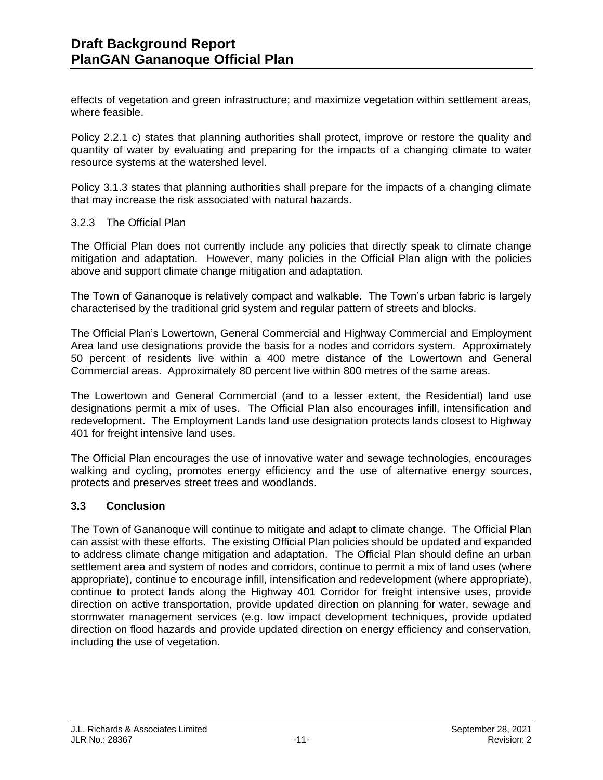effects of vegetation and green infrastructure; and maximize vegetation within settlement areas, where feasible.

Policy 2.2.1 c) states that planning authorities shall protect, improve or restore the quality and quantity of water by evaluating and preparing for the impacts of a changing climate to water resource systems at the watershed level.

Policy 3.1.3 states that planning authorities shall prepare for the impacts of a changing climate that may increase the risk associated with natural hazards.

#### 3.2.3 The Official Plan

The Official Plan does not currently include any policies that directly speak to climate change mitigation and adaptation. However, many policies in the Official Plan align with the policies above and support climate change mitigation and adaptation.

The Town of Gananoque is relatively compact and walkable. The Town's urban fabric is largely characterised by the traditional grid system and regular pattern of streets and blocks.

The Official Plan's Lowertown, General Commercial and Highway Commercial and Employment Area land use designations provide the basis for a nodes and corridors system. Approximately 50 percent of residents live within a 400 metre distance of the Lowertown and General Commercial areas. Approximately 80 percent live within 800 metres of the same areas.

The Lowertown and General Commercial (and to a lesser extent, the Residential) land use designations permit a mix of uses. The Official Plan also encourages infill, intensification and redevelopment. The Employment Lands land use designation protects lands closest to Highway 401 for freight intensive land uses.

The Official Plan encourages the use of innovative water and sewage technologies, encourages walking and cycling, promotes energy efficiency and the use of alternative energy sources, protects and preserves street trees and woodlands.

#### **3.3 Conclusion**

The Town of Gananoque will continue to mitigate and adapt to climate change. The Official Plan can assist with these efforts. The existing Official Plan policies should be updated and expanded to address climate change mitigation and adaptation. The Official Plan should define an urban settlement area and system of nodes and corridors, continue to permit a mix of land uses (where appropriate), continue to encourage infill, intensification and redevelopment (where appropriate), continue to protect lands along the Highway 401 Corridor for freight intensive uses, provide direction on active transportation, provide updated direction on planning for water, sewage and stormwater management services (e.g. low impact development techniques, provide updated direction on flood hazards and provide updated direction on energy efficiency and conservation, including the use of vegetation.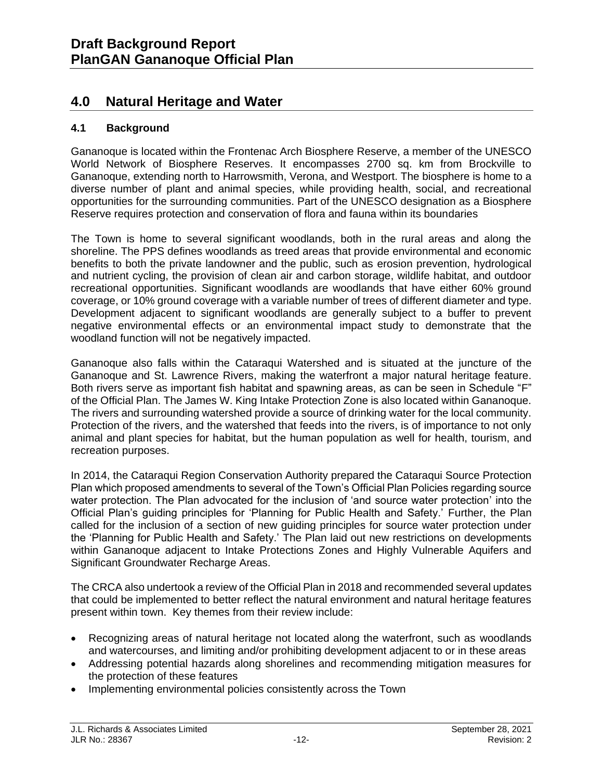# **4.0 Natural Heritage and Water**

### **4.1 Background**

Gananoque is located within the Frontenac Arch Biosphere Reserve, a member of the UNESCO World Network of Biosphere Reserves. It encompasses 2700 sq. km from Brockville to Gananoque, extending north to Harrowsmith, Verona, and Westport. The biosphere is home to a diverse number of plant and animal species, while providing health, social, and recreational opportunities for the surrounding communities. Part of the UNESCO designation as a Biosphere Reserve requires protection and conservation of flora and fauna within its boundaries

The Town is home to several significant woodlands, both in the rural areas and along the shoreline. The PPS defines woodlands as treed areas that provide environmental and economic benefits to both the private landowner and the public, such as erosion prevention, hydrological and nutrient cycling, the provision of clean air and carbon storage, wildlife habitat, and outdoor recreational opportunities. Significant woodlands are woodlands that have either 60% ground coverage, or 10% ground coverage with a variable number of trees of different diameter and type. Development adjacent to significant woodlands are generally subject to a buffer to prevent negative environmental effects or an environmental impact study to demonstrate that the woodland function will not be negatively impacted.

Gananoque also falls within the Cataraqui Watershed and is situated at the juncture of the Gananoque and St. Lawrence Rivers, making the waterfront a major natural heritage feature. Both rivers serve as important fish habitat and spawning areas, as can be seen in Schedule "F" of the Official Plan. The James W. King Intake Protection Zone is also located within Gananoque. The rivers and surrounding watershed provide a source of drinking water for the local community. Protection of the rivers, and the watershed that feeds into the rivers, is of importance to not only animal and plant species for habitat, but the human population as well for health, tourism, and recreation purposes.

In 2014, the Cataraqui Region Conservation Authority prepared the Cataraqui Source Protection Plan which proposed amendments to several of the Town's Official Plan Policies regarding source water protection. The Plan advocated for the inclusion of 'and source water protection' into the Official Plan's guiding principles for 'Planning for Public Health and Safety.' Further, the Plan called for the inclusion of a section of new guiding principles for source water protection under the 'Planning for Public Health and Safety.' The Plan laid out new restrictions on developments within Gananoque adjacent to Intake Protections Zones and Highly Vulnerable Aquifers and Significant Groundwater Recharge Areas.

The CRCA also undertook a review of the Official Plan in 2018 and recommended several updates that could be implemented to better reflect the natural environment and natural heritage features present within town. Key themes from their review include:

- Recognizing areas of natural heritage not located along the waterfront, such as woodlands and watercourses, and limiting and/or prohibiting development adjacent to or in these areas
- Addressing potential hazards along shorelines and recommending mitigation measures for the protection of these features
- Implementing environmental policies consistently across the Town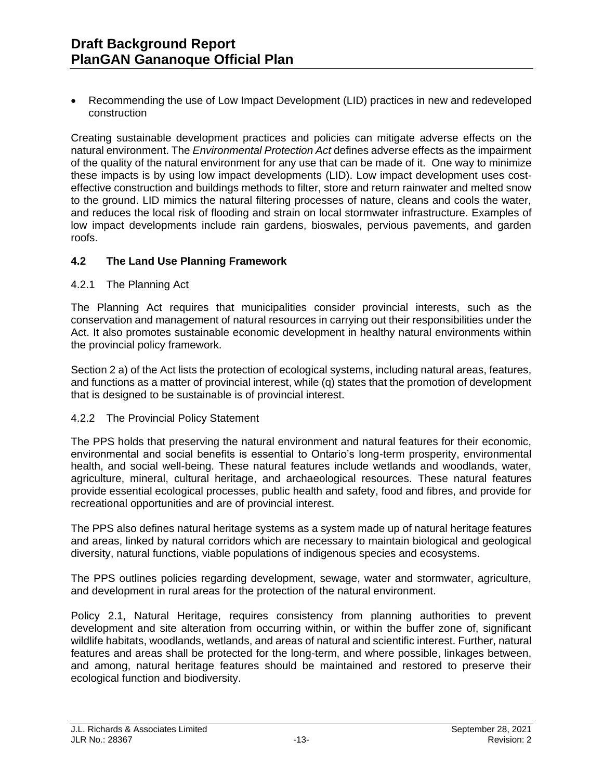• Recommending the use of Low Impact Development (LID) practices in new and redeveloped construction

Creating sustainable development practices and policies can mitigate adverse effects on the natural environment. The *Environmental Protection Act* defines adverse effects as the impairment of the quality of the natural environment for any use that can be made of it. One way to minimize these impacts is by using low impact developments (LID). Low impact development uses costeffective construction and buildings methods to filter, store and return rainwater and melted snow to the ground. LID mimics the natural filtering processes of nature, cleans and cools the water, and reduces the local risk of flooding and strain on local stormwater infrastructure. Examples of low impact developments include rain gardens, bioswales, pervious pavements, and garden roofs.

#### **4.2 The Land Use Planning Framework**

#### 4.2.1 The Planning Act

The Planning Act requires that municipalities consider provincial interests, such as the conservation and management of natural resources in carrying out their responsibilities under the Act. It also promotes sustainable economic development in healthy natural environments within the provincial policy framework.

Section 2 a) of the Act lists the protection of ecological systems, including natural areas, features, and functions as a matter of provincial interest, while (q) states that the promotion of development that is designed to be sustainable is of provincial interest.

#### 4.2.2 The Provincial Policy Statement

The PPS holds that preserving the natural environment and natural features for their economic, environmental and social benefits is essential to Ontario's long-term prosperity, environmental health, and social well-being. These natural features include wetlands and woodlands, water, agriculture, mineral, cultural heritage, and archaeological resources. These natural features provide essential ecological processes, public health and safety, food and fibres, and provide for recreational opportunities and are of provincial interest.

The PPS also defines natural heritage systems as a system made up of natural heritage features and areas, linked by natural corridors which are necessary to maintain biological and geological diversity, natural functions, viable populations of indigenous species and ecosystems.

The PPS outlines policies regarding development, sewage, water and stormwater, agriculture, and development in rural areas for the protection of the natural environment.

Policy 2.1, Natural Heritage, requires consistency from planning authorities to prevent development and site alteration from occurring within, or within the buffer zone of, significant wildlife habitats, woodlands, wetlands, and areas of natural and scientific interest. Further, natural features and areas shall be protected for the long-term, and where possible, linkages between, and among, natural heritage features should be maintained and restored to preserve their ecological function and biodiversity.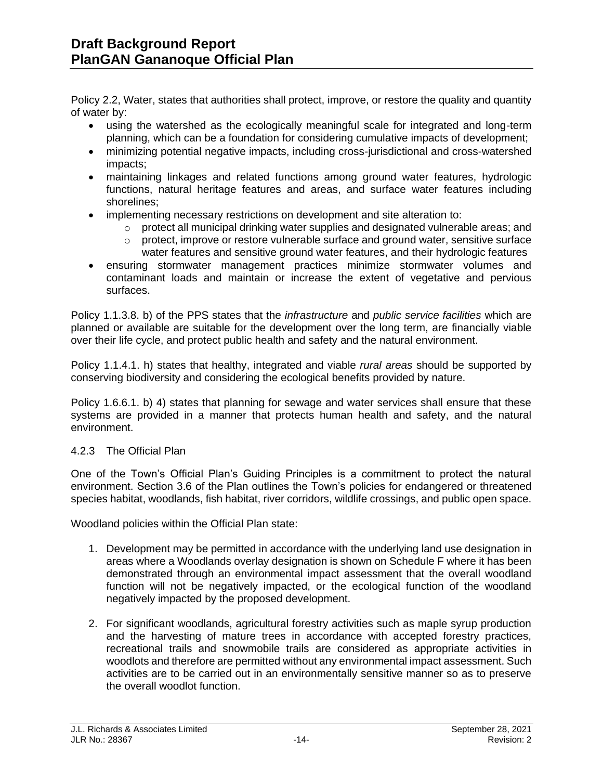Policy 2.2, Water, states that authorities shall protect, improve, or restore the quality and quantity of water by:

- using the watershed as the ecologically meaningful scale for integrated and long-term planning, which can be a foundation for considering cumulative impacts of development;
- minimizing potential negative impacts, including cross-jurisdictional and cross-watershed impacts;
- maintaining linkages and related functions among ground water features, hydrologic functions, natural heritage features and areas, and surface water features including shorelines;
- implementing necessary restrictions on development and site alteration to:
	- $\circ$  protect all municipal drinking water supplies and designated vulnerable areas; and
	- $\circ$  protect, improve or restore vulnerable surface and ground water, sensitive surface water features and sensitive ground water features, and their hydrologic features
- ensuring stormwater management practices minimize stormwater volumes and contaminant loads and maintain or increase the extent of vegetative and pervious surfaces.

Policy 1.1.3.8. b) of the PPS states that the *infrastructure* and *public service facilities* which are planned or available are suitable for the development over the long term, are financially viable over their life cycle, and protect public health and safety and the natural environment.

Policy 1.1.4.1. h) states that healthy, integrated and viable *rural areas* should be supported by conserving biodiversity and considering the ecological benefits provided by nature.

Policy 1.6.6.1. b) 4) states that planning for sewage and water services shall ensure that these systems are provided in a manner that protects human health and safety, and the natural environment.

#### 4.2.3 The Official Plan

One of the Town's Official Plan's Guiding Principles is a commitment to protect the natural environment. Section 3.6 of the Plan outlines the Town's policies for endangered or threatened species habitat, woodlands, fish habitat, river corridors, wildlife crossings, and public open space.

Woodland policies within the Official Plan state:

- 1. Development may be permitted in accordance with the underlying land use designation in areas where a Woodlands overlay designation is shown on Schedule F where it has been demonstrated through an environmental impact assessment that the overall woodland function will not be negatively impacted, or the ecological function of the woodland negatively impacted by the proposed development.
- 2. For significant woodlands, agricultural forestry activities such as maple syrup production and the harvesting of mature trees in accordance with accepted forestry practices, recreational trails and snowmobile trails are considered as appropriate activities in woodlots and therefore are permitted without any environmental impact assessment. Such activities are to be carried out in an environmentally sensitive manner so as to preserve the overall woodlot function.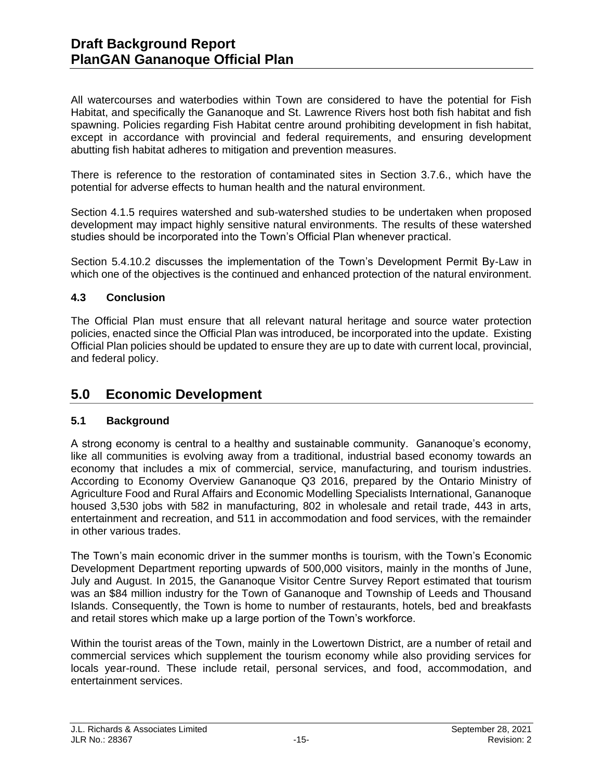All watercourses and waterbodies within Town are considered to have the potential for Fish Habitat, and specifically the Gananoque and St. Lawrence Rivers host both fish habitat and fish spawning. Policies regarding Fish Habitat centre around prohibiting development in fish habitat, except in accordance with provincial and federal requirements, and ensuring development abutting fish habitat adheres to mitigation and prevention measures.

There is reference to the restoration of contaminated sites in Section 3.7.6., which have the potential for adverse effects to human health and the natural environment.

Section 4.1.5 requires watershed and sub-watershed studies to be undertaken when proposed development may impact highly sensitive natural environments. The results of these watershed studies should be incorporated into the Town's Official Plan whenever practical.

Section 5.4.10.2 discusses the implementation of the Town's Development Permit By-Law in which one of the objectives is the continued and enhanced protection of the natural environment.

# **4.3 Conclusion**

The Official Plan must ensure that all relevant natural heritage and source water protection policies, enacted since the Official Plan was introduced, be incorporated into the update. Existing Official Plan policies should be updated to ensure they are up to date with current local, provincial, and federal policy.

# **5.0 Economic Development**

# **5.1 Background**

A strong economy is central to a healthy and sustainable community. Gananoque's economy, like all communities is evolving away from a traditional, industrial based economy towards an economy that includes a mix of commercial, service, manufacturing, and tourism industries. According to Economy Overview Gananoque Q3 2016, prepared by the Ontario Ministry of Agriculture Food and Rural Affairs and Economic Modelling Specialists International, Gananoque housed 3,530 jobs with 582 in manufacturing, 802 in wholesale and retail trade, 443 in arts, entertainment and recreation, and 511 in accommodation and food services, with the remainder in other various trades.

The Town's main economic driver in the summer months is tourism, with the Town's Economic Development Department reporting upwards of 500,000 visitors, mainly in the months of June, July and August. In 2015, the Gananoque Visitor Centre Survey Report estimated that tourism was an \$84 million industry for the Town of Gananoque and Township of Leeds and Thousand Islands. Consequently, the Town is home to number of restaurants, hotels, bed and breakfasts and retail stores which make up a large portion of the Town's workforce.

Within the tourist areas of the Town, mainly in the Lowertown District, are a number of retail and commercial services which supplement the tourism economy while also providing services for locals year-round. These include retail, personal services, and food, accommodation, and entertainment services.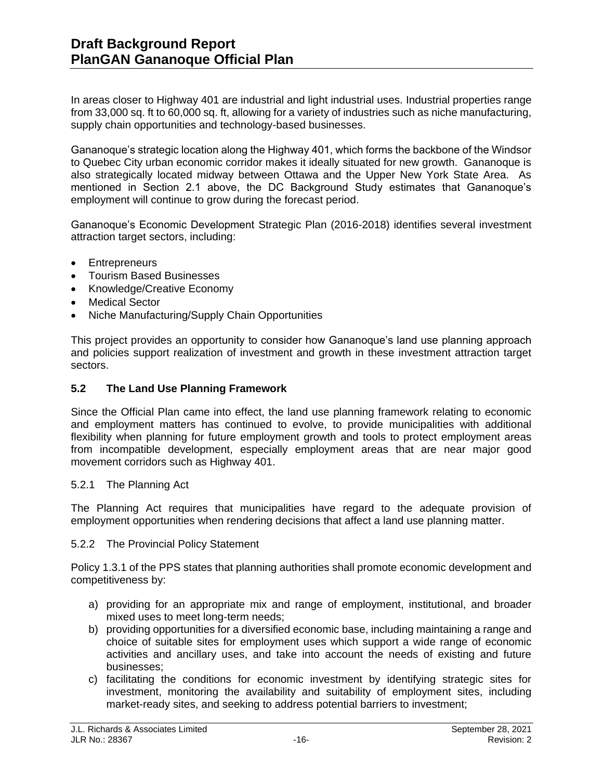In areas closer to Highway 401 are industrial and light industrial uses. Industrial properties range from 33,000 sq. ft to 60,000 sq. ft, allowing for a variety of industries such as niche manufacturing, supply chain opportunities and technology-based businesses.

Gananoque's strategic location along the Highway 401, which forms the backbone of the Windsor to Quebec City urban economic corridor makes it ideally situated for new growth. Gananoque is also strategically located midway between Ottawa and the Upper New York State Area. As mentioned in Section 2.1 above, the DC Background Study estimates that Gananoque's employment will continue to grow during the forecast period.

Gananoque's Economic Development Strategic Plan (2016-2018) identifies several investment attraction target sectors, including:

- Entrepreneurs
- Tourism Based Businesses
- Knowledge/Creative Economy
- Medical Sector
- Niche Manufacturing/Supply Chain Opportunities

This project provides an opportunity to consider how Gananoque's land use planning approach and policies support realization of investment and growth in these investment attraction target sectors.

### **5.2 The Land Use Planning Framework**

Since the Official Plan came into effect, the land use planning framework relating to economic and employment matters has continued to evolve, to provide municipalities with additional flexibility when planning for future employment growth and tools to protect employment areas from incompatible development, especially employment areas that are near major good movement corridors such as Highway 401.

#### 5.2.1 The Planning Act

The Planning Act requires that municipalities have regard to the adequate provision of employment opportunities when rendering decisions that affect a land use planning matter.

#### 5.2.2 The Provincial Policy Statement

Policy 1.3.1 of the PPS states that planning authorities shall promote economic development and competitiveness by:

- a) providing for an appropriate mix and range of employment, institutional, and broader mixed uses to meet long-term needs;
- b) providing opportunities for a diversified economic base, including maintaining a range and choice of suitable sites for employment uses which support a wide range of economic activities and ancillary uses, and take into account the needs of existing and future businesses;
- c) facilitating the conditions for economic investment by identifying strategic sites for investment, monitoring the availability and suitability of employment sites, including market-ready sites, and seeking to address potential barriers to investment;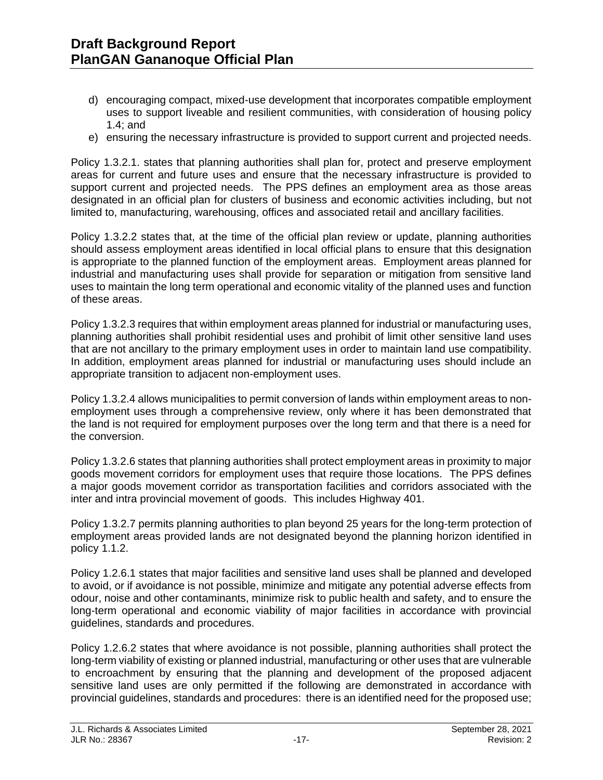- d) encouraging compact, mixed-use development that incorporates compatible employment uses to support liveable and resilient communities, with consideration of housing policy 1.4; and
- e) ensuring the necessary infrastructure is provided to support current and projected needs.

Policy 1.3.2.1. states that planning authorities shall plan for, protect and preserve employment areas for current and future uses and ensure that the necessary infrastructure is provided to support current and projected needs. The PPS defines an employment area as those areas designated in an official plan for clusters of business and economic activities including, but not limited to, manufacturing, warehousing, offices and associated retail and ancillary facilities.

Policy 1.3.2.2 states that, at the time of the official plan review or update, planning authorities should assess employment areas identified in local official plans to ensure that this designation is appropriate to the planned function of the employment areas. Employment areas planned for industrial and manufacturing uses shall provide for separation or mitigation from sensitive land uses to maintain the long term operational and economic vitality of the planned uses and function of these areas.

Policy 1.3.2.3 requires that within employment areas planned for industrial or manufacturing uses, planning authorities shall prohibit residential uses and prohibit of limit other sensitive land uses that are not ancillary to the primary employment uses in order to maintain land use compatibility. In addition, employment areas planned for industrial or manufacturing uses should include an appropriate transition to adjacent non-employment uses.

Policy 1.3.2.4 allows municipalities to permit conversion of lands within employment areas to nonemployment uses through a comprehensive review, only where it has been demonstrated that the land is not required for employment purposes over the long term and that there is a need for the conversion.

Policy 1.3.2.6 states that planning authorities shall protect employment areas in proximity to major goods movement corridors for employment uses that require those locations. The PPS defines a major goods movement corridor as transportation facilities and corridors associated with the inter and intra provincial movement of goods. This includes Highway 401.

Policy 1.3.2.7 permits planning authorities to plan beyond 25 years for the long-term protection of employment areas provided lands are not designated beyond the planning horizon identified in policy 1.1.2.

Policy 1.2.6.1 states that major facilities and sensitive land uses shall be planned and developed to avoid, or if avoidance is not possible, minimize and mitigate any potential adverse effects from odour, noise and other contaminants, minimize risk to public health and safety, and to ensure the long-term operational and economic viability of major facilities in accordance with provincial guidelines, standards and procedures.

Policy 1.2.6.2 states that where avoidance is not possible, planning authorities shall protect the long-term viability of existing or planned industrial, manufacturing or other uses that are vulnerable to encroachment by ensuring that the planning and development of the proposed adjacent sensitive land uses are only permitted if the following are demonstrated in accordance with provincial guidelines, standards and procedures: there is an identified need for the proposed use;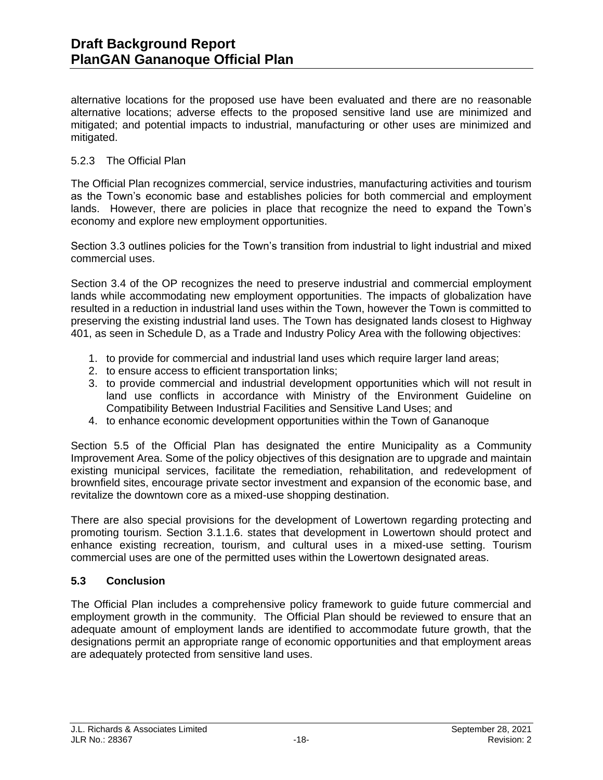alternative locations for the proposed use have been evaluated and there are no reasonable alternative locations; adverse effects to the proposed sensitive land use are minimized and mitigated; and potential impacts to industrial, manufacturing or other uses are minimized and mitigated.

#### 5.2.3 The Official Plan

The Official Plan recognizes commercial, service industries, manufacturing activities and tourism as the Town's economic base and establishes policies for both commercial and employment lands. However, there are policies in place that recognize the need to expand the Town's economy and explore new employment opportunities.

Section 3.3 outlines policies for the Town's transition from industrial to light industrial and mixed commercial uses.

Section 3.4 of the OP recognizes the need to preserve industrial and commercial employment lands while accommodating new employment opportunities. The impacts of globalization have resulted in a reduction in industrial land uses within the Town, however the Town is committed to preserving the existing industrial land uses. The Town has designated lands closest to Highway 401, as seen in Schedule D, as a Trade and Industry Policy Area with the following objectives:

- 1. to provide for commercial and industrial land uses which require larger land areas;
- 2. to ensure access to efficient transportation links;
- 3. to provide commercial and industrial development opportunities which will not result in land use conflicts in accordance with Ministry of the Environment Guideline on Compatibility Between Industrial Facilities and Sensitive Land Uses; and
- 4. to enhance economic development opportunities within the Town of Gananoque

Section 5.5 of the Official Plan has designated the entire Municipality as a Community Improvement Area. Some of the policy objectives of this designation are to upgrade and maintain existing municipal services, facilitate the remediation, rehabilitation, and redevelopment of brownfield sites, encourage private sector investment and expansion of the economic base, and revitalize the downtown core as a mixed-use shopping destination.

There are also special provisions for the development of Lowertown regarding protecting and promoting tourism. Section 3.1.1.6. states that development in Lowertown should protect and enhance existing recreation, tourism, and cultural uses in a mixed-use setting. Tourism commercial uses are one of the permitted uses within the Lowertown designated areas.

# **5.3 Conclusion**

The Official Plan includes a comprehensive policy framework to guide future commercial and employment growth in the community. The Official Plan should be reviewed to ensure that an adequate amount of employment lands are identified to accommodate future growth, that the designations permit an appropriate range of economic opportunities and that employment areas are adequately protected from sensitive land uses.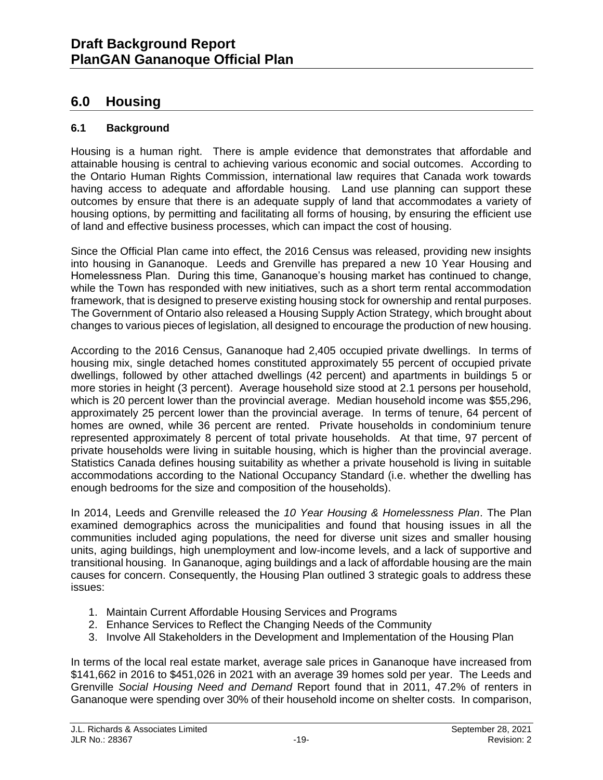# **6.0 Housing**

# **6.1 Background**

Housing is a human right. There is ample evidence that demonstrates that affordable and attainable housing is central to achieving various economic and social outcomes. According to the Ontario Human Rights Commission, international law requires that Canada work towards having access to adequate and affordable housing. Land use planning can support these outcomes by ensure that there is an adequate supply of land that accommodates a variety of housing options, by permitting and facilitating all forms of housing, by ensuring the efficient use of land and effective business processes, which can impact the cost of housing.

Since the Official Plan came into effect, the 2016 Census was released, providing new insights into housing in Gananoque. Leeds and Grenville has prepared a new 10 Year Housing and Homelessness Plan. During this time, Gananoque's housing market has continued to change, while the Town has responded with new initiatives, such as a short term rental accommodation framework, that is designed to preserve existing housing stock for ownership and rental purposes. The Government of Ontario also released a Housing Supply Action Strategy, which brought about changes to various pieces of legislation, all designed to encourage the production of new housing.

According to the 2016 Census, Gananoque had 2,405 occupied private dwellings. In terms of housing mix, single detached homes constituted approximately 55 percent of occupied private dwellings, followed by other attached dwellings (42 percent) and apartments in buildings 5 or more stories in height (3 percent). Average household size stood at 2.1 persons per household, which is 20 percent lower than the provincial average. Median household income was \$55,296, approximately 25 percent lower than the provincial average. In terms of tenure, 64 percent of homes are owned, while 36 percent are rented. Private households in condominium tenure represented approximately 8 percent of total private households. At that time, 97 percent of private households were living in suitable housing, which is higher than the provincial average. Statistics Canada defines housing suitability as whether a private household is living in suitable accommodations according to the National Occupancy Standard (i.e. whether the dwelling has enough bedrooms for the size and composition of the households).

In 2014, Leeds and Grenville released the *10 Year Housing & Homelessness Plan*. The Plan examined demographics across the municipalities and found that housing issues in all the communities included aging populations, the need for diverse unit sizes and smaller housing units, aging buildings, high unemployment and low-income levels, and a lack of supportive and transitional housing. In Gananoque, aging buildings and a lack of affordable housing are the main causes for concern. Consequently, the Housing Plan outlined 3 strategic goals to address these issues:

- 1. Maintain Current Affordable Housing Services and Programs
- 2. Enhance Services to Reflect the Changing Needs of the Community
- 3. Involve All Stakeholders in the Development and Implementation of the Housing Plan

In terms of the local real estate market, average sale prices in Gananoque have increased from \$141,662 in 2016 to \$451,026 in 2021 with an average 39 homes sold per year. The Leeds and Grenville *Social Housing Need and Demand* Report found that in 2011, 47.2% of renters in Gananoque were spending over 30% of their household income on shelter costs. In comparison,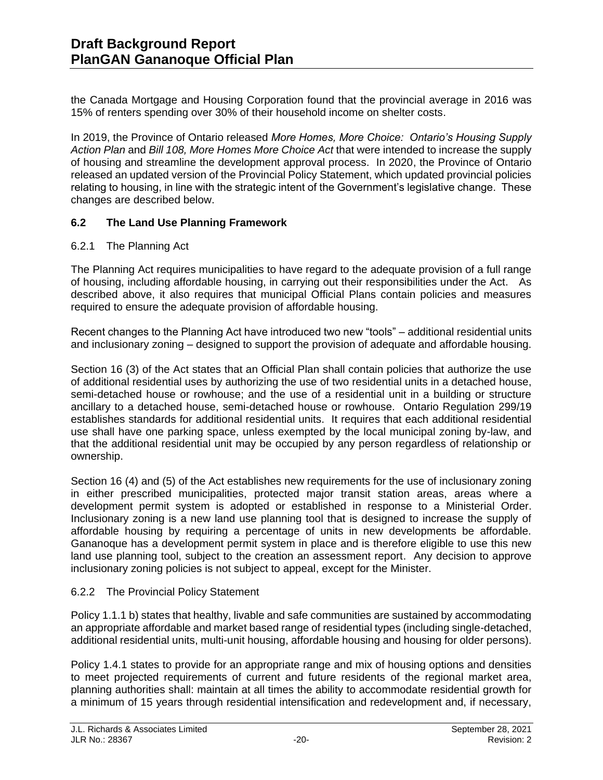the Canada Mortgage and Housing Corporation found that the provincial average in 2016 was 15% of renters spending over 30% of their household income on shelter costs.

In 2019, the Province of Ontario released *More Homes, More Choice: Ontario's Housing Supply Action Plan* and *Bill 108, More Homes More Choice Act* that were intended to increase the supply of housing and streamline the development approval process. In 2020, the Province of Ontario released an updated version of the Provincial Policy Statement, which updated provincial policies relating to housing, in line with the strategic intent of the Government's legislative change. These changes are described below.

# **6.2 The Land Use Planning Framework**

### 6.2.1 The Planning Act

The Planning Act requires municipalities to have regard to the adequate provision of a full range of housing, including affordable housing, in carrying out their responsibilities under the Act. As described above, it also requires that municipal Official Plans contain policies and measures required to ensure the adequate provision of affordable housing.

Recent changes to the Planning Act have introduced two new "tools" – additional residential units and inclusionary zoning – designed to support the provision of adequate and affordable housing.

Section 16 (3) of the Act states that an Official Plan shall contain policies that authorize the use of additional residential uses by authorizing the use of two residential units in a detached house, semi-detached house or rowhouse; and the use of a residential unit in a building or structure ancillary to a detached house, semi-detached house or rowhouse. Ontario Regulation 299/19 establishes standards for additional residential units. It requires that each additional residential use shall have one parking space, unless exempted by the local municipal zoning by-law, and that the additional residential unit may be occupied by any person regardless of relationship or ownership.

Section 16 (4) and (5) of the Act establishes new requirements for the use of inclusionary zoning in either prescribed municipalities, protected major transit station areas, areas where a development permit system is adopted or established in response to a Ministerial Order. Inclusionary zoning is a new land use planning tool that is designed to increase the supply of affordable housing by requiring a percentage of units in new developments be affordable. Gananoque has a development permit system in place and is therefore eligible to use this new land use planning tool, subject to the creation an assessment report. Any decision to approve inclusionary zoning policies is not subject to appeal, except for the Minister.

#### 6.2.2 The Provincial Policy Statement

Policy 1.1.1 b) states that healthy, livable and safe communities are sustained by accommodating an appropriate affordable and market based range of residential types (including single-detached, additional residential units, multi-unit housing, affordable housing and housing for older persons).

Policy 1.4.1 states to provide for an appropriate range and mix of housing options and densities to meet projected requirements of current and future residents of the regional market area, planning authorities shall: maintain at all times the ability to accommodate residential growth for a minimum of 15 years through residential intensification and redevelopment and, if necessary,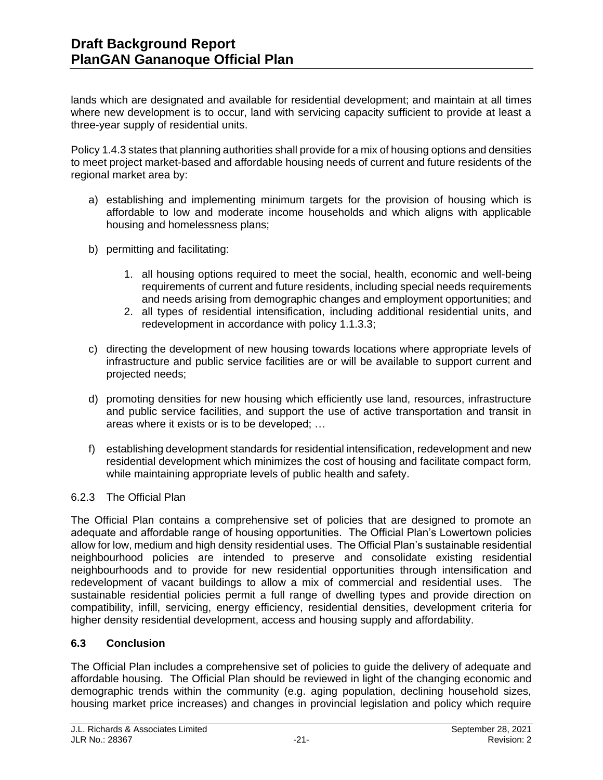lands which are designated and available for residential development; and maintain at all times where new development is to occur, land with servicing capacity sufficient to provide at least a three-year supply of residential units.

Policy 1.4.3 states that planning authorities shall provide for a mix of housing options and densities to meet project market-based and affordable housing needs of current and future residents of the regional market area by:

- a) establishing and implementing minimum targets for the provision of housing which is affordable to low and moderate income households and which aligns with applicable housing and homelessness plans;
- b) permitting and facilitating:
	- 1. all housing options required to meet the social, health, economic and well-being requirements of current and future residents, including special needs requirements and needs arising from demographic changes and employment opportunities; and
	- 2. all types of residential intensification, including additional residential units, and redevelopment in accordance with policy 1.1.3.3;
- c) directing the development of new housing towards locations where appropriate levels of infrastructure and public service facilities are or will be available to support current and projected needs;
- d) promoting densities for new housing which efficiently use land, resources, infrastructure and public service facilities, and support the use of active transportation and transit in areas where it exists or is to be developed; …
- f) establishing development standards for residential intensification, redevelopment and new residential development which minimizes the cost of housing and facilitate compact form, while maintaining appropriate levels of public health and safety.

#### 6.2.3 The Official Plan

The Official Plan contains a comprehensive set of policies that are designed to promote an adequate and affordable range of housing opportunities. The Official Plan's Lowertown policies allow for low, medium and high density residential uses. The Official Plan's sustainable residential neighbourhood policies are intended to preserve and consolidate existing residential neighbourhoods and to provide for new residential opportunities through intensification and redevelopment of vacant buildings to allow a mix of commercial and residential uses. The sustainable residential policies permit a full range of dwelling types and provide direction on compatibility, infill, servicing, energy efficiency, residential densities, development criteria for higher density residential development, access and housing supply and affordability.

# **6.3 Conclusion**

The Official Plan includes a comprehensive set of policies to guide the delivery of adequate and affordable housing. The Official Plan should be reviewed in light of the changing economic and demographic trends within the community (e.g. aging population, declining household sizes, housing market price increases) and changes in provincial legislation and policy which require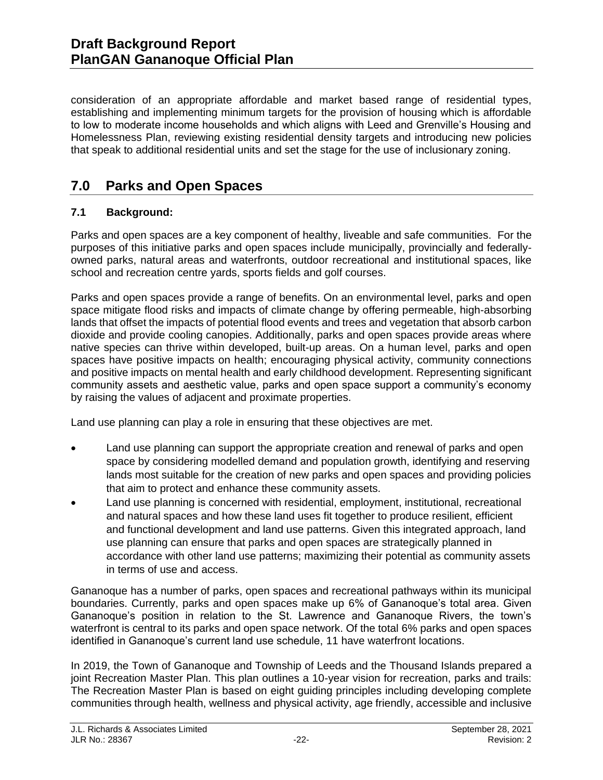consideration of an appropriate affordable and market based range of residential types, establishing and implementing minimum targets for the provision of housing which is affordable to low to moderate income households and which aligns with Leed and Grenville's Housing and Homelessness Plan, reviewing existing residential density targets and introducing new policies that speak to additional residential units and set the stage for the use of inclusionary zoning.

# **7.0 Parks and Open Spaces**

# **7.1 Background:**

Parks and open spaces are a key component of healthy, liveable and safe communities. For the purposes of this initiative parks and open spaces include municipally, provincially and federallyowned parks, natural areas and waterfronts, outdoor recreational and institutional spaces, like school and recreation centre yards, sports fields and golf courses.

Parks and open spaces provide a range of benefits. On an environmental level, parks and open space mitigate flood risks and impacts of climate change by offering permeable, high-absorbing lands that offset the impacts of potential flood events and trees and vegetation that absorb carbon dioxide and provide cooling canopies. Additionally, parks and open spaces provide areas where native species can thrive within developed, built-up areas. On a human level, parks and open spaces have positive impacts on health; encouraging physical activity, community connections and positive impacts on mental health and early childhood development. Representing significant community assets and aesthetic value, parks and open space support a community's economy by raising the values of adjacent and proximate properties.

Land use planning can play a role in ensuring that these objectives are met.

- Land use planning can support the appropriate creation and renewal of parks and open space by considering modelled demand and population growth, identifying and reserving lands most suitable for the creation of new parks and open spaces and providing policies that aim to protect and enhance these community assets.
- Land use planning is concerned with residential, employment, institutional, recreational and natural spaces and how these land uses fit together to produce resilient, efficient and functional development and land use patterns. Given this integrated approach, land use planning can ensure that parks and open spaces are strategically planned in accordance with other land use patterns; maximizing their potential as community assets in terms of use and access.

Gananoque has a number of parks, open spaces and recreational pathways within its municipal boundaries. Currently, parks and open spaces make up 6% of Gananoque's total area. Given Gananoque's position in relation to the St. Lawrence and Gananoque Rivers, the town's waterfront is central to its parks and open space network. Of the total 6% parks and open spaces identified in Gananoque's current land use schedule, 11 have waterfront locations.

In 2019, the Town of Gananoque and Township of Leeds and the Thousand Islands prepared a joint Recreation Master Plan. This plan outlines a 10-year vision for recreation, parks and trails: The Recreation Master Plan is based on eight guiding principles including developing complete communities through health, wellness and physical activity, age friendly, accessible and inclusive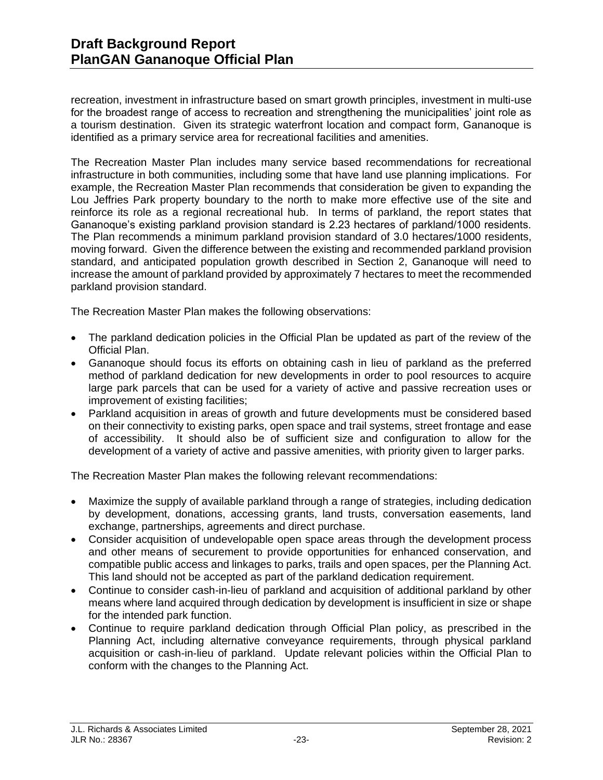recreation, investment in infrastructure based on smart growth principles, investment in multi-use for the broadest range of access to recreation and strengthening the municipalities' joint role as a tourism destination. Given its strategic waterfront location and compact form, Gananoque is identified as a primary service area for recreational facilities and amenities.

The Recreation Master Plan includes many service based recommendations for recreational infrastructure in both communities, including some that have land use planning implications. For example, the Recreation Master Plan recommends that consideration be given to expanding the Lou Jeffries Park property boundary to the north to make more effective use of the site and reinforce its role as a regional recreational hub. In terms of parkland, the report states that Gananoque's existing parkland provision standard is 2.23 hectares of parkland/1000 residents. The Plan recommends a minimum parkland provision standard of 3.0 hectares/1000 residents, moving forward. Given the difference between the existing and recommended parkland provision standard, and anticipated population growth described in Section 2, Gananoque will need to increase the amount of parkland provided by approximately 7 hectares to meet the recommended parkland provision standard.

The Recreation Master Plan makes the following observations:

- The parkland dedication policies in the Official Plan be updated as part of the review of the Official Plan.
- Gananoque should focus its efforts on obtaining cash in lieu of parkland as the preferred method of parkland dedication for new developments in order to pool resources to acquire large park parcels that can be used for a variety of active and passive recreation uses or improvement of existing facilities;
- Parkland acquisition in areas of growth and future developments must be considered based on their connectivity to existing parks, open space and trail systems, street frontage and ease of accessibility. It should also be of sufficient size and configuration to allow for the development of a variety of active and passive amenities, with priority given to larger parks.

The Recreation Master Plan makes the following relevant recommendations:

- Maximize the supply of available parkland through a range of strategies, including dedication by development, donations, accessing grants, land trusts, conversation easements, land exchange, partnerships, agreements and direct purchase.
- Consider acquisition of undevelopable open space areas through the development process and other means of securement to provide opportunities for enhanced conservation, and compatible public access and linkages to parks, trails and open spaces, per the Planning Act. This land should not be accepted as part of the parkland dedication requirement.
- Continue to consider cash-in-lieu of parkland and acquisition of additional parkland by other means where land acquired through dedication by development is insufficient in size or shape for the intended park function.
- Continue to require parkland dedication through Official Plan policy, as prescribed in the Planning Act, including alternative conveyance requirements, through physical parkland acquisition or cash-in-lieu of parkland. Update relevant policies within the Official Plan to conform with the changes to the Planning Act.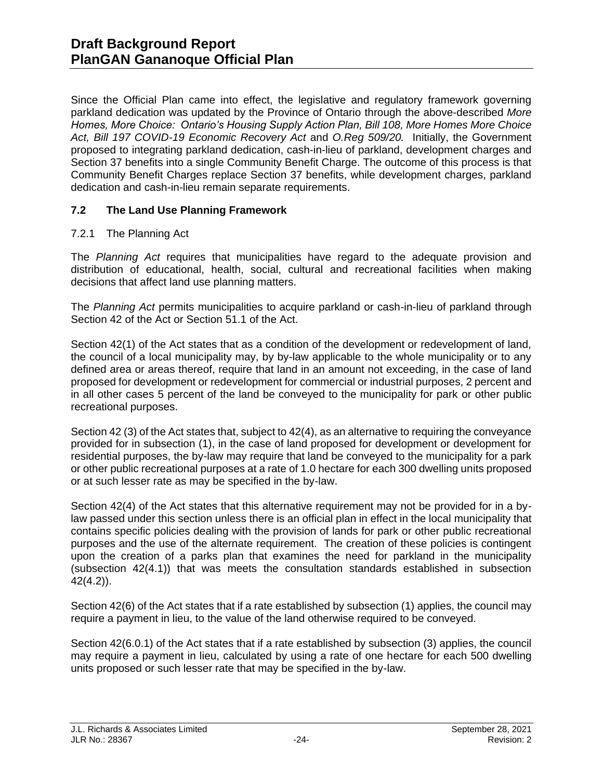Since the Official Plan came into effect, the legislative and regulatory framework governing parkland dedication was updated by the Province of Ontario through the above-described *More Homes, More Choice: Ontario's Housing Supply Action Plan, Bill 108, More Homes More Choice Act, Bill 197 COVID-19 Economic Recovery Act* and *O.Reg 509/20.* Initially, the Government proposed to integrating parkland dedication, cash-in-lieu of parkland, development charges and Section 37 benefits into a single Community Benefit Charge. The outcome of this process is that Community Benefit Charges replace Section 37 benefits, while development charges, parkland dedication and cash-in-lieu remain separate requirements.

### **7.2 The Land Use Planning Framework**

### 7.2.1 The Planning Act

The *Planning Act* requires that municipalities have regard to the adequate provision and distribution of educational, health, social, cultural and recreational facilities when making decisions that affect land use planning matters.

The *Planning Act* permits municipalities to acquire parkland or cash-in-lieu of parkland through Section 42 of the Act or Section 51.1 of the Act.

Section 42(1) of the Act states that as a condition of the development or redevelopment of land, the council of a local municipality may, by by-law applicable to the whole municipality or to any defined area or areas thereof, require that land in an amount not exceeding, in the case of land proposed for development or redevelopment for commercial or industrial purposes, 2 percent and in all other cases 5 percent of the land be conveyed to the municipality for park or other public recreational purposes.

Section 42 (3) of the Act states that, subject to 42(4), as an alternative to requiring the conveyance provided for in subsection (1), in the case of land proposed for development or development for residential purposes, the by-law may require that land be conveyed to the municipality for a park or other public recreational purposes at a rate of 1.0 hectare for each 300 dwelling units proposed or at such lesser rate as may be specified in the by-law.

Section 42(4) of the Act states that this alternative requirement may not be provided for in a bylaw passed under this section unless there is an official plan in effect in the local municipality that contains specific policies dealing with the provision of lands for park or other public recreational purposes and the use of the alternate requirement. The creation of these policies is contingent upon the creation of a parks plan that examines the need for parkland in the municipality (subsection 42(4.1)) that was meets the consultation standards established in subsection 42(4.2)).

Section 42(6) of the Act states that if a rate established by subsection (1) applies, the council may require a payment in lieu, to the value of the land otherwise required to be conveyed.

Section 42(6.0.1) of the Act states that if a rate established by subsection (3) applies, the council may require a payment in lieu, calculated by using a rate of one hectare for each 500 dwelling units proposed or such lesser rate that may be specified in the by-law.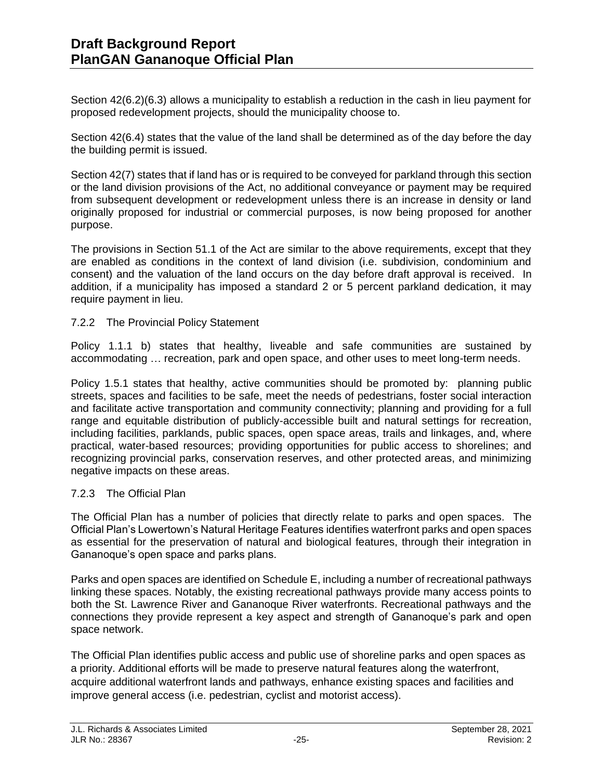Section 42(6.2)(6.3) allows a municipality to establish a reduction in the cash in lieu payment for proposed redevelopment projects, should the municipality choose to.

Section 42(6.4) states that the value of the land shall be determined as of the day before the day the building permit is issued.

Section 42(7) states that if land has or is required to be conveyed for parkland through this section or the land division provisions of the Act, no additional conveyance or payment may be required from subsequent development or redevelopment unless there is an increase in density or land originally proposed for industrial or commercial purposes, is now being proposed for another purpose.

The provisions in Section 51.1 of the Act are similar to the above requirements, except that they are enabled as conditions in the context of land division (i.e. subdivision, condominium and consent) and the valuation of the land occurs on the day before draft approval is received. In addition, if a municipality has imposed a standard 2 or 5 percent parkland dedication, it may require payment in lieu.

### 7.2.2 The Provincial Policy Statement

Policy 1.1.1 b) states that healthy, liveable and safe communities are sustained by accommodating … recreation, park and open space, and other uses to meet long-term needs.

Policy 1.5.1 states that healthy, active communities should be promoted by: planning public streets, spaces and facilities to be safe, meet the needs of pedestrians, foster social interaction and facilitate active transportation and community connectivity; planning and providing for a full range and equitable distribution of publicly-accessible built and natural settings for recreation, including facilities, parklands, public spaces, open space areas, trails and linkages, and, where practical, water-based resources; providing opportunities for public access to shorelines; and recognizing provincial parks, conservation reserves, and other protected areas, and minimizing negative impacts on these areas.

#### 7.2.3 The Official Plan

The Official Plan has a number of policies that directly relate to parks and open spaces. The Official Plan's Lowertown's Natural Heritage Features identifies waterfront parks and open spaces as essential for the preservation of natural and biological features, through their integration in Gananoque's open space and parks plans.

Parks and open spaces are identified on Schedule E, including a number of recreational pathways linking these spaces. Notably, the existing recreational pathways provide many access points to both the St. Lawrence River and Gananoque River waterfronts. Recreational pathways and the connections they provide represent a key aspect and strength of Gananoque's park and open space network.

The Official Plan identifies public access and public use of shoreline parks and open spaces as a priority. Additional efforts will be made to preserve natural features along the waterfront, acquire additional waterfront lands and pathways, enhance existing spaces and facilities and improve general access (i.e. pedestrian, cyclist and motorist access).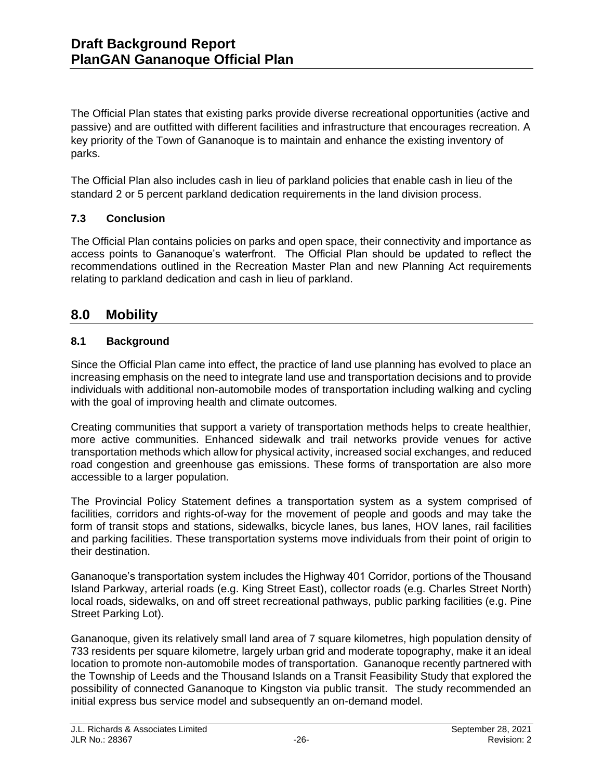The Official Plan states that existing parks provide diverse recreational opportunities (active and passive) and are outfitted with different facilities and infrastructure that encourages recreation. A key priority of the Town of Gananoque is to maintain and enhance the existing inventory of parks.

The Official Plan also includes cash in lieu of parkland policies that enable cash in lieu of the standard 2 or 5 percent parkland dedication requirements in the land division process.

# **7.3 Conclusion**

The Official Plan contains policies on parks and open space, their connectivity and importance as access points to Gananoque's waterfront. The Official Plan should be updated to reflect the recommendations outlined in the Recreation Master Plan and new Planning Act requirements relating to parkland dedication and cash in lieu of parkland.

# **8.0 Mobility**

# **8.1 Background**

Since the Official Plan came into effect, the practice of land use planning has evolved to place an increasing emphasis on the need to integrate land use and transportation decisions and to provide individuals with additional non-automobile modes of transportation including walking and cycling with the goal of improving health and climate outcomes.

Creating communities that support a variety of transportation methods helps to create healthier, more active communities. Enhanced sidewalk and trail networks provide venues for active transportation methods which allow for physical activity, increased social exchanges, and reduced road congestion and greenhouse gas emissions. These forms of transportation are also more accessible to a larger population.

The Provincial Policy Statement defines a transportation system as a system comprised of facilities, corridors and rights-of-way for the movement of people and goods and may take the form of transit stops and stations, sidewalks, bicycle lanes, bus lanes, HOV lanes, rail facilities and parking facilities. These transportation systems move individuals from their point of origin to their destination.

Gananoque's transportation system includes the Highway 401 Corridor, portions of the Thousand Island Parkway, arterial roads (e.g. King Street East), collector roads (e.g. Charles Street North) local roads, sidewalks, on and off street recreational pathways, public parking facilities (e.g. Pine Street Parking Lot).

Gananoque, given its relatively small land area of 7 square kilometres, high population density of 733 residents per square kilometre, largely urban grid and moderate topography, make it an ideal location to promote non-automobile modes of transportation. Gananoque recently partnered with the Township of Leeds and the Thousand Islands on a Transit Feasibility Study that explored the possibility of connected Gananoque to Kingston via public transit. The study recommended an initial express bus service model and subsequently an on-demand model.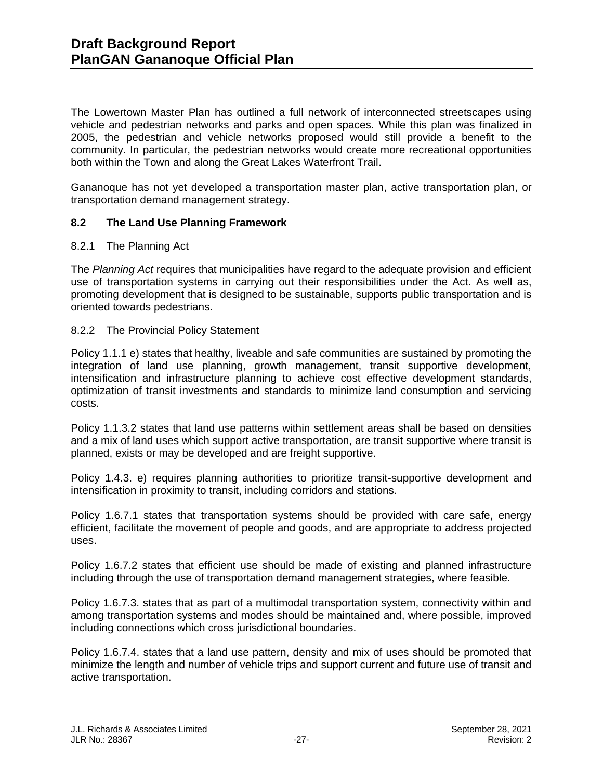The Lowertown Master Plan has outlined a full network of interconnected streetscapes using vehicle and pedestrian networks and parks and open spaces. While this plan was finalized in 2005, the pedestrian and vehicle networks proposed would still provide a benefit to the community. In particular, the pedestrian networks would create more recreational opportunities both within the Town and along the Great Lakes Waterfront Trail.

Gananoque has not yet developed a transportation master plan, active transportation plan, or transportation demand management strategy.

#### **8.2 The Land Use Planning Framework**

#### 8.2.1 The Planning Act

The *Planning Act* requires that municipalities have regard to the adequate provision and efficient use of transportation systems in carrying out their responsibilities under the Act. As well as, promoting development that is designed to be sustainable, supports public transportation and is oriented towards pedestrians.

#### 8.2.2 The Provincial Policy Statement

Policy 1.1.1 e) states that healthy, liveable and safe communities are sustained by promoting the integration of land use planning, growth management, transit supportive development, intensification and infrastructure planning to achieve cost effective development standards, optimization of transit investments and standards to minimize land consumption and servicing costs.

Policy 1.1.3.2 states that land use patterns within settlement areas shall be based on densities and a mix of land uses which support active transportation, are transit supportive where transit is planned, exists or may be developed and are freight supportive.

Policy 1.4.3. e) requires planning authorities to prioritize transit-supportive development and intensification in proximity to transit, including corridors and stations.

Policy 1.6.7.1 states that transportation systems should be provided with care safe, energy efficient, facilitate the movement of people and goods, and are appropriate to address projected uses.

Policy 1.6.7.2 states that efficient use should be made of existing and planned infrastructure including through the use of transportation demand management strategies, where feasible.

Policy 1.6.7.3. states that as part of a multimodal transportation system, connectivity within and among transportation systems and modes should be maintained and, where possible, improved including connections which cross jurisdictional boundaries.

Policy 1.6.7.4. states that a land use pattern, density and mix of uses should be promoted that minimize the length and number of vehicle trips and support current and future use of transit and active transportation.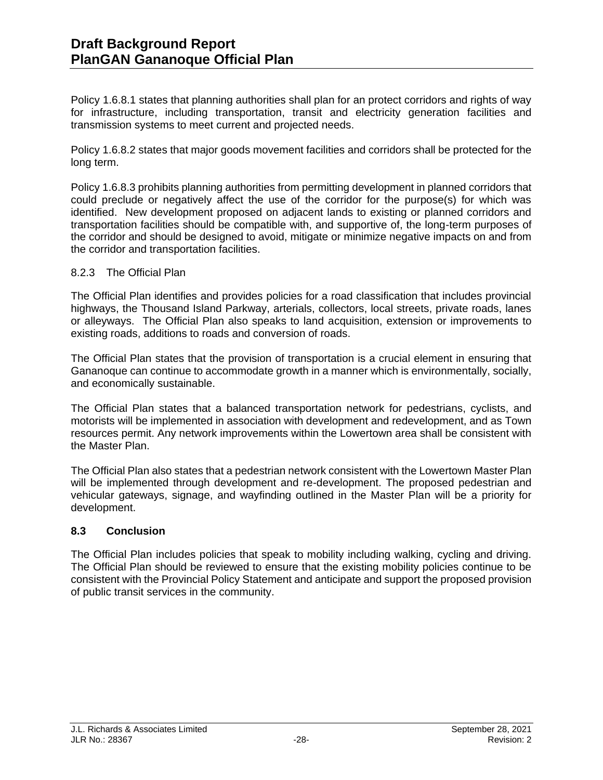Policy 1.6.8.1 states that planning authorities shall plan for an protect corridors and rights of way for infrastructure, including transportation, transit and electricity generation facilities and transmission systems to meet current and projected needs.

Policy 1.6.8.2 states that major goods movement facilities and corridors shall be protected for the long term.

Policy 1.6.8.3 prohibits planning authorities from permitting development in planned corridors that could preclude or negatively affect the use of the corridor for the purpose(s) for which was identified. New development proposed on adjacent lands to existing or planned corridors and transportation facilities should be compatible with, and supportive of, the long-term purposes of the corridor and should be designed to avoid, mitigate or minimize negative impacts on and from the corridor and transportation facilities.

#### 8.2.3 The Official Plan

The Official Plan identifies and provides policies for a road classification that includes provincial highways, the Thousand Island Parkway, arterials, collectors, local streets, private roads, lanes or alleyways. The Official Plan also speaks to land acquisition, extension or improvements to existing roads, additions to roads and conversion of roads.

The Official Plan states that the provision of transportation is a crucial element in ensuring that Gananoque can continue to accommodate growth in a manner which is environmentally, socially, and economically sustainable.

The Official Plan states that a balanced transportation network for pedestrians, cyclists, and motorists will be implemented in association with development and redevelopment, and as Town resources permit. Any network improvements within the Lowertown area shall be consistent with the Master Plan.

The Official Plan also states that a pedestrian network consistent with the Lowertown Master Plan will be implemented through development and re-development. The proposed pedestrian and vehicular gateways, signage, and wayfinding outlined in the Master Plan will be a priority for development.

#### **8.3 Conclusion**

The Official Plan includes policies that speak to mobility including walking, cycling and driving. The Official Plan should be reviewed to ensure that the existing mobility policies continue to be consistent with the Provincial Policy Statement and anticipate and support the proposed provision of public transit services in the community.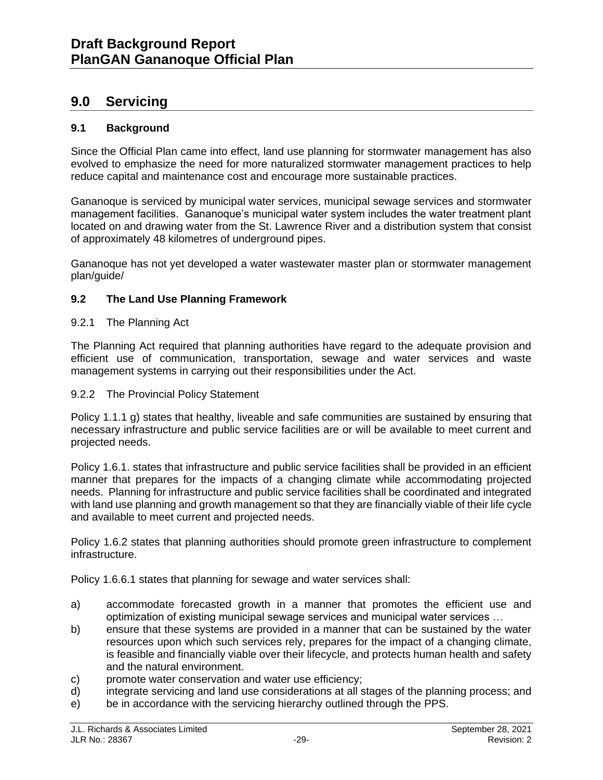# **9.0 Servicing**

### **9.1 Background**

Since the Official Plan came into effect, land use planning for stormwater management has also evolved to emphasize the need for more naturalized stormwater management practices to help reduce capital and maintenance cost and encourage more sustainable practices.

Gananoque is serviced by municipal water services, municipal sewage services and stormwater management facilities. Gananoque's municipal water system includes the water treatment plant located on and drawing water from the St. Lawrence River and a distribution system that consist of approximately 48 kilometres of underground pipes.

Gananoque has not yet developed a water wastewater master plan or stormwater management plan/guide/

#### **9.2 The Land Use Planning Framework**

#### 9.2.1 The Planning Act

The Planning Act required that planning authorities have regard to the adequate provision and efficient use of communication, transportation, sewage and water services and waste management systems in carrying out their responsibilities under the Act.

#### 9.2.2 The Provincial Policy Statement

Policy 1.1.1 g) states that healthy, liveable and safe communities are sustained by ensuring that necessary infrastructure and public service facilities are or will be available to meet current and projected needs.

Policy 1.6.1. states that infrastructure and public service facilities shall be provided in an efficient manner that prepares for the impacts of a changing climate while accommodating projected needs. Planning for infrastructure and public service facilities shall be coordinated and integrated with land use planning and growth management so that they are financially viable of their life cycle and available to meet current and projected needs.

Policy 1.6.2 states that planning authorities should promote green infrastructure to complement infrastructure.

Policy 1.6.6.1 states that planning for sewage and water services shall:

- a) accommodate forecasted growth in a manner that promotes the efficient use and optimization of existing municipal sewage services and municipal water services …
- b) ensure that these systems are provided in a manner that can be sustained by the water resources upon which such services rely, prepares for the impact of a changing climate, is feasible and financially viable over their lifecycle, and protects human health and safety and the natural environment.
- c) promote water conservation and water use efficiency;
- d) integrate servicing and land use considerations at all stages of the planning process; and
- e) be in accordance with the servicing hierarchy outlined through the PPS.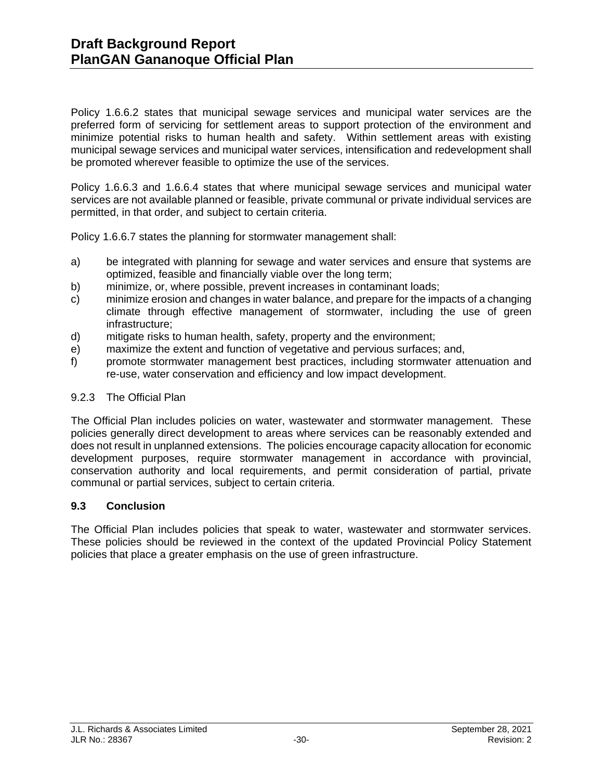Policy 1.6.6.2 states that municipal sewage services and municipal water services are the preferred form of servicing for settlement areas to support protection of the environment and minimize potential risks to human health and safety. Within settlement areas with existing municipal sewage services and municipal water services, intensification and redevelopment shall be promoted wherever feasible to optimize the use of the services.

Policy 1.6.6.3 and 1.6.6.4 states that where municipal sewage services and municipal water services are not available planned or feasible, private communal or private individual services are permitted, in that order, and subject to certain criteria.

Policy 1.6.6.7 states the planning for stormwater management shall:

- a) be integrated with planning for sewage and water services and ensure that systems are optimized, feasible and financially viable over the long term;
- b) minimize, or, where possible, prevent increases in contaminant loads;
- c) minimize erosion and changes in water balance, and prepare for the impacts of a changing climate through effective management of stormwater, including the use of green infrastructure;
- d) mitigate risks to human health, safety, property and the environment;
- e) maximize the extent and function of vegetative and pervious surfaces; and,
- f) promote stormwater management best practices, including stormwater attenuation and re-use, water conservation and efficiency and low impact development.

#### 9.2.3 The Official Plan

The Official Plan includes policies on water, wastewater and stormwater management. These policies generally direct development to areas where services can be reasonably extended and does not result in unplanned extensions. The policies encourage capacity allocation for economic development purposes, require stormwater management in accordance with provincial, conservation authority and local requirements, and permit consideration of partial, private communal or partial services, subject to certain criteria.

#### **9.3 Conclusion**

The Official Plan includes policies that speak to water, wastewater and stormwater services. These policies should be reviewed in the context of the updated Provincial Policy Statement policies that place a greater emphasis on the use of green infrastructure.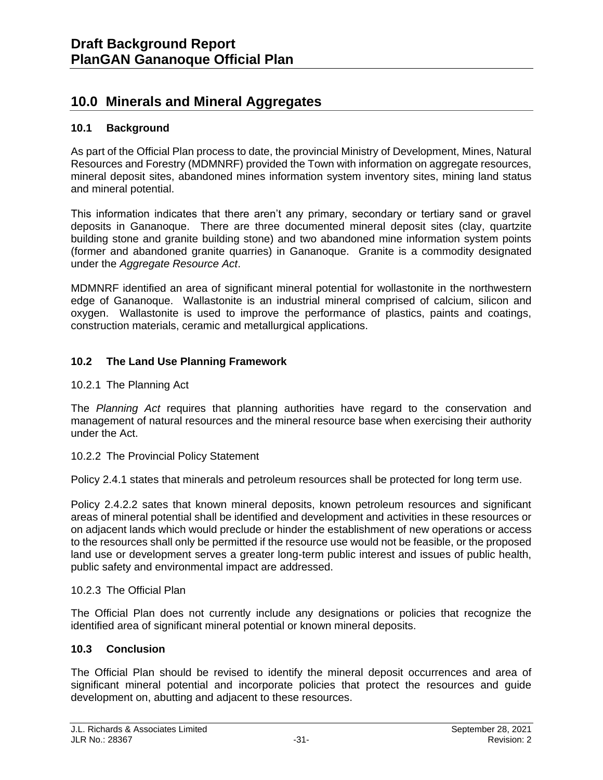# **10.0 Minerals and Mineral Aggregates**

# **10.1 Background**

As part of the Official Plan process to date, the provincial Ministry of Development, Mines, Natural Resources and Forestry (MDMNRF) provided the Town with information on aggregate resources, mineral deposit sites, abandoned mines information system inventory sites, mining land status and mineral potential.

This information indicates that there aren't any primary, secondary or tertiary sand or gravel deposits in Gananoque. There are three documented mineral deposit sites (clay, quartzite building stone and granite building stone) and two abandoned mine information system points (former and abandoned granite quarries) in Gananoque. Granite is a commodity designated under the *Aggregate Resource Act*.

MDMNRF identified an area of significant mineral potential for wollastonite in the northwestern edge of Gananoque. Wallastonite is an industrial mineral comprised of calcium, silicon and oxygen. Wallastonite is used to improve the performance of plastics, paints and coatings, construction materials, ceramic and metallurgical applications.

# **10.2 The Land Use Planning Framework**

10.2.1 The Planning Act

The *Planning Act* requires that planning authorities have regard to the conservation and management of natural resources and the mineral resource base when exercising their authority under the Act.

10.2.2 The Provincial Policy Statement

Policy 2.4.1 states that minerals and petroleum resources shall be protected for long term use.

Policy 2.4.2.2 sates that known mineral deposits, known petroleum resources and significant areas of mineral potential shall be identified and development and activities in these resources or on adjacent lands which would preclude or hinder the establishment of new operations or access to the resources shall only be permitted if the resource use would not be feasible, or the proposed land use or development serves a greater long-term public interest and issues of public health, public safety and environmental impact are addressed.

# 10.2.3 The Official Plan

The Official Plan does not currently include any designations or policies that recognize the identified area of significant mineral potential or known mineral deposits.

# **10.3 Conclusion**

The Official Plan should be revised to identify the mineral deposit occurrences and area of significant mineral potential and incorporate policies that protect the resources and guide development on, abutting and adjacent to these resources.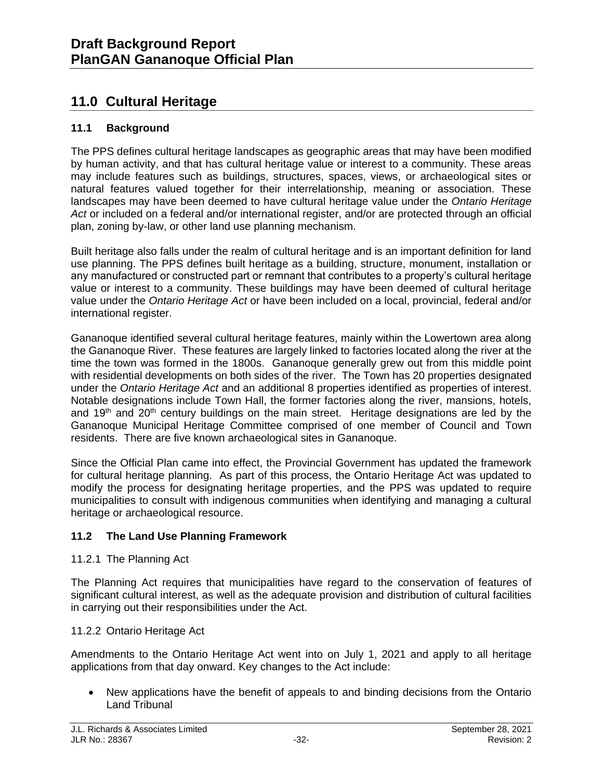# **11.0 Cultural Heritage**

# **11.1 Background**

The PPS defines cultural heritage landscapes as geographic areas that may have been modified by human activity, and that has cultural heritage value or interest to a community. These areas may include features such as buildings, structures, spaces, views, or archaeological sites or natural features valued together for their interrelationship, meaning or association. These landscapes may have been deemed to have cultural heritage value under the *Ontario Heritage Act* or included on a federal and/or international register, and/or are protected through an official plan, zoning by-law, or other land use planning mechanism.

Built heritage also falls under the realm of cultural heritage and is an important definition for land use planning. The PPS defines built heritage as a building, structure, monument, installation or any manufactured or constructed part or remnant that contributes to a property's cultural heritage value or interest to a community. These buildings may have been deemed of cultural heritage value under the *Ontario Heritage Act* or have been included on a local, provincial, federal and/or international register.

Gananoque identified several cultural heritage features, mainly within the Lowertown area along the Gananoque River. These features are largely linked to factories located along the river at the time the town was formed in the 1800s. Gananoque generally grew out from this middle point with residential developments on both sides of the river. The Town has 20 properties designated under the *Ontario Heritage Act* and an additional 8 properties identified as properties of interest. Notable designations include Town Hall, the former factories along the river, mansions, hotels, and 19<sup>th</sup> and 20<sup>th</sup> century buildings on the main street. Heritage designations are led by the Gananoque Municipal Heritage Committee comprised of one member of Council and Town residents. There are five known archaeological sites in Gananoque.

Since the Official Plan came into effect, the Provincial Government has updated the framework for cultural heritage planning. As part of this process, the Ontario Heritage Act was updated to modify the process for designating heritage properties, and the PPS was updated to require municipalities to consult with indigenous communities when identifying and managing a cultural heritage or archaeological resource.

# **11.2 The Land Use Planning Framework**

# 11.2.1 The Planning Act

The Planning Act requires that municipalities have regard to the conservation of features of significant cultural interest, as well as the adequate provision and distribution of cultural facilities in carrying out their responsibilities under the Act.

# 11.2.2 Ontario Heritage Act

Amendments to the Ontario Heritage Act went into on July 1, 2021 and apply to all heritage applications from that day onward. Key changes to the Act include:

• New applications have the benefit of appeals to and binding decisions from the Ontario Land Tribunal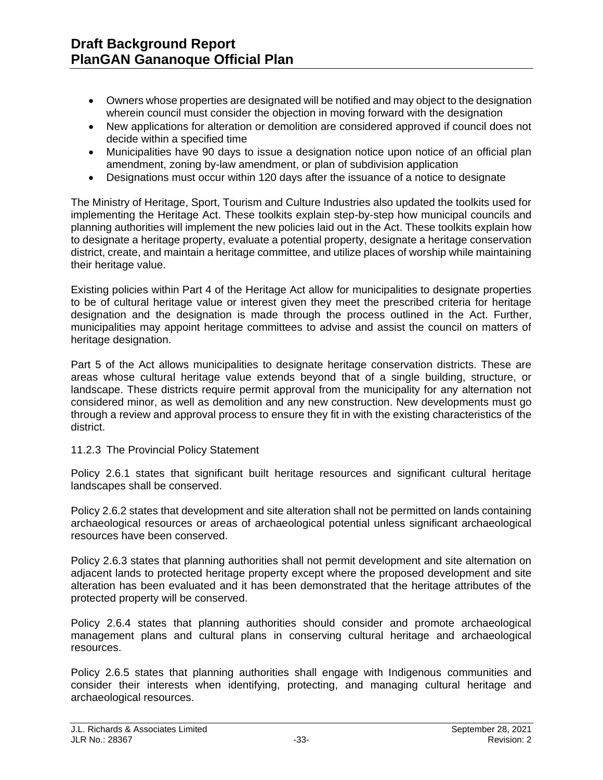- Owners whose properties are designated will be notified and may object to the designation wherein council must consider the objection in moving forward with the designation
- New applications for alteration or demolition are considered approved if council does not decide within a specified time
- Municipalities have 90 days to issue a designation notice upon notice of an official plan amendment, zoning by-law amendment, or plan of subdivision application
- Designations must occur within 120 days after the issuance of a notice to designate

The Ministry of Heritage, Sport, Tourism and Culture Industries also updated the toolkits used for implementing the Heritage Act. These toolkits explain step-by-step how municipal councils and planning authorities will implement the new policies laid out in the Act. These toolkits explain how to designate a heritage property, evaluate a potential property, designate a heritage conservation district, create, and maintain a heritage committee, and utilize places of worship while maintaining their heritage value.

Existing policies within Part 4 of the Heritage Act allow for municipalities to designate properties to be of cultural heritage value or interest given they meet the prescribed criteria for heritage designation and the designation is made through the process outlined in the Act. Further, municipalities may appoint heritage committees to advise and assist the council on matters of heritage designation.

Part 5 of the Act allows municipalities to designate heritage conservation districts. These are areas whose cultural heritage value extends beyond that of a single building, structure, or landscape. These districts require permit approval from the municipality for any alternation not considered minor, as well as demolition and any new construction. New developments must go through a review and approval process to ensure they fit in with the existing characteristics of the district.

#### 11.2.3 The Provincial Policy Statement

Policy 2.6.1 states that significant built heritage resources and significant cultural heritage landscapes shall be conserved.

Policy 2.6.2 states that development and site alteration shall not be permitted on lands containing archaeological resources or areas of archaeological potential unless significant archaeological resources have been conserved.

Policy 2.6.3 states that planning authorities shall not permit development and site alternation on adjacent lands to protected heritage property except where the proposed development and site alteration has been evaluated and it has been demonstrated that the heritage attributes of the protected property will be conserved.

Policy 2.6.4 states that planning authorities should consider and promote archaeological management plans and cultural plans in conserving cultural heritage and archaeological resources.

Policy 2.6.5 states that planning authorities shall engage with Indigenous communities and consider their interests when identifying, protecting, and managing cultural heritage and archaeological resources.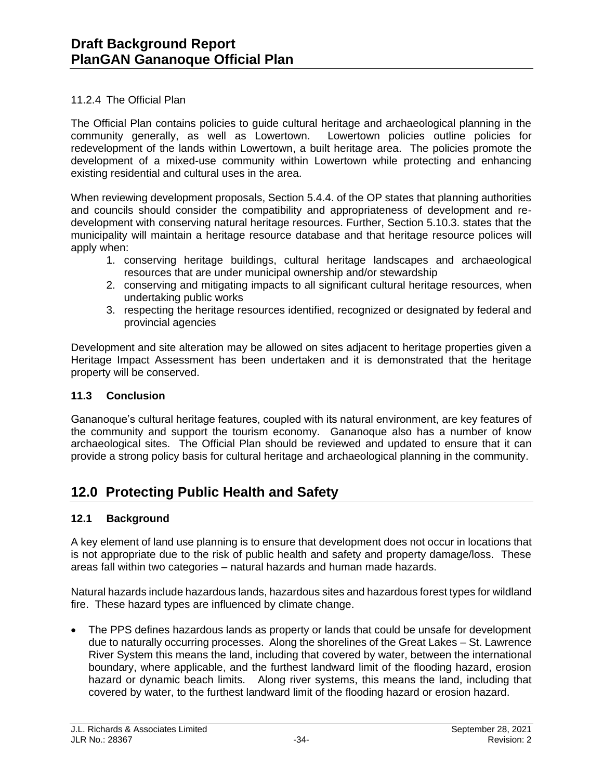### 11.2.4 The Official Plan

The Official Plan contains policies to guide cultural heritage and archaeological planning in the community generally, as well as Lowertown. Lowertown policies outline policies for redevelopment of the lands within Lowertown, a built heritage area. The policies promote the development of a mixed-use community within Lowertown while protecting and enhancing existing residential and cultural uses in the area.

When reviewing development proposals, Section 5.4.4. of the OP states that planning authorities and councils should consider the compatibility and appropriateness of development and redevelopment with conserving natural heritage resources. Further, Section 5.10.3. states that the municipality will maintain a heritage resource database and that heritage resource polices will apply when:

- 1. conserving heritage buildings, cultural heritage landscapes and archaeological resources that are under municipal ownership and/or stewardship
- 2. conserving and mitigating impacts to all significant cultural heritage resources, when undertaking public works
- 3. respecting the heritage resources identified, recognized or designated by federal and provincial agencies

Development and site alteration may be allowed on sites adjacent to heritage properties given a Heritage Impact Assessment has been undertaken and it is demonstrated that the heritage property will be conserved.

### **11.3 Conclusion**

Gananoque's cultural heritage features, coupled with its natural environment, are key features of the community and support the tourism economy. Gananoque also has a number of know archaeological sites. The Official Plan should be reviewed and updated to ensure that it can provide a strong policy basis for cultural heritage and archaeological planning in the community.

# **12.0 Protecting Public Health and Safety**

# **12.1 Background**

A key element of land use planning is to ensure that development does not occur in locations that is not appropriate due to the risk of public health and safety and property damage/loss. These areas fall within two categories – natural hazards and human made hazards.

Natural hazards include hazardous lands, hazardous sites and hazardous forest types for wildland fire. These hazard types are influenced by climate change.

• The PPS defines hazardous lands as property or lands that could be unsafe for development due to naturally occurring processes. Along the shorelines of the Great Lakes – St. Lawrence River System this means the land, including that covered by water, between the international boundary, where applicable, and the furthest landward limit of the flooding hazard, erosion hazard or dynamic beach limits. Along river systems, this means the land, including that covered by water, to the furthest landward limit of the flooding hazard or erosion hazard.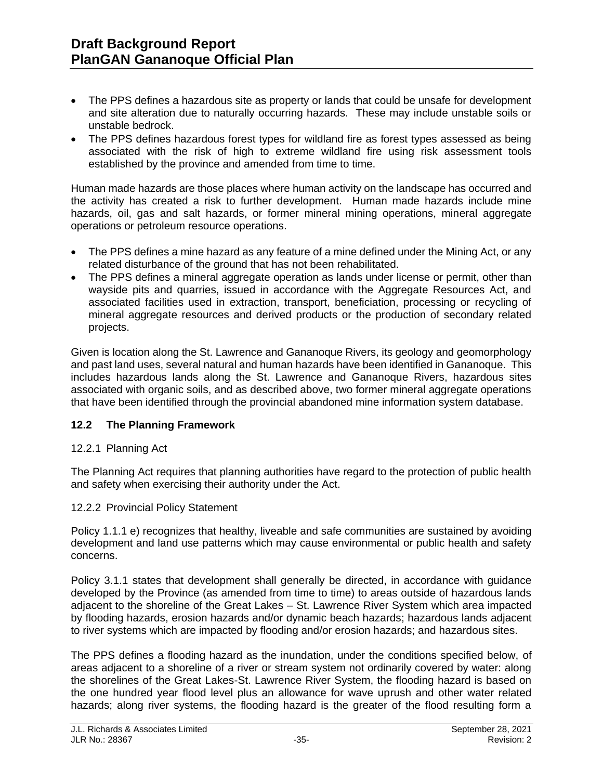- The PPS defines a hazardous site as property or lands that could be unsafe for development and site alteration due to naturally occurring hazards. These may include unstable soils or unstable bedrock.
- The PPS defines hazardous forest types for wildland fire as forest types assessed as being associated with the risk of high to extreme wildland fire using risk assessment tools established by the province and amended from time to time.

Human made hazards are those places where human activity on the landscape has occurred and the activity has created a risk to further development. Human made hazards include mine hazards, oil, gas and salt hazards, or former mineral mining operations, mineral aggregate operations or petroleum resource operations.

- The PPS defines a mine hazard as any feature of a mine defined under the Mining Act, or any related disturbance of the ground that has not been rehabilitated.
- The PPS defines a mineral aggregate operation as lands under license or permit, other than wayside pits and quarries, issued in accordance with the Aggregate Resources Act, and associated facilities used in extraction, transport, beneficiation, processing or recycling of mineral aggregate resources and derived products or the production of secondary related projects.

Given is location along the St. Lawrence and Gananoque Rivers, its geology and geomorphology and past land uses, several natural and human hazards have been identified in Gananoque. This includes hazardous lands along the St. Lawrence and Gananoque Rivers, hazardous sites associated with organic soils, and as described above, two former mineral aggregate operations that have been identified through the provincial abandoned mine information system database.

# **12.2 The Planning Framework**

# 12.2.1 Planning Act

The Planning Act requires that planning authorities have regard to the protection of public health and safety when exercising their authority under the Act.

# 12.2.2 Provincial Policy Statement

Policy 1.1.1 e) recognizes that healthy, liveable and safe communities are sustained by avoiding development and land use patterns which may cause environmental or public health and safety concerns.

Policy 3.1.1 states that development shall generally be directed, in accordance with guidance developed by the Province (as amended from time to time) to areas outside of hazardous lands adjacent to the shoreline of the Great Lakes – St. Lawrence River System which area impacted by flooding hazards, erosion hazards and/or dynamic beach hazards; hazardous lands adjacent to river systems which are impacted by flooding and/or erosion hazards; and hazardous sites.

The PPS defines a flooding hazard as the inundation, under the conditions specified below, of areas adjacent to a shoreline of a river or stream system not ordinarily covered by water: along the shorelines of the Great Lakes-St. Lawrence River System, the flooding hazard is based on the one hundred year flood level plus an allowance for wave uprush and other water related hazards; along river systems, the flooding hazard is the greater of the flood resulting form a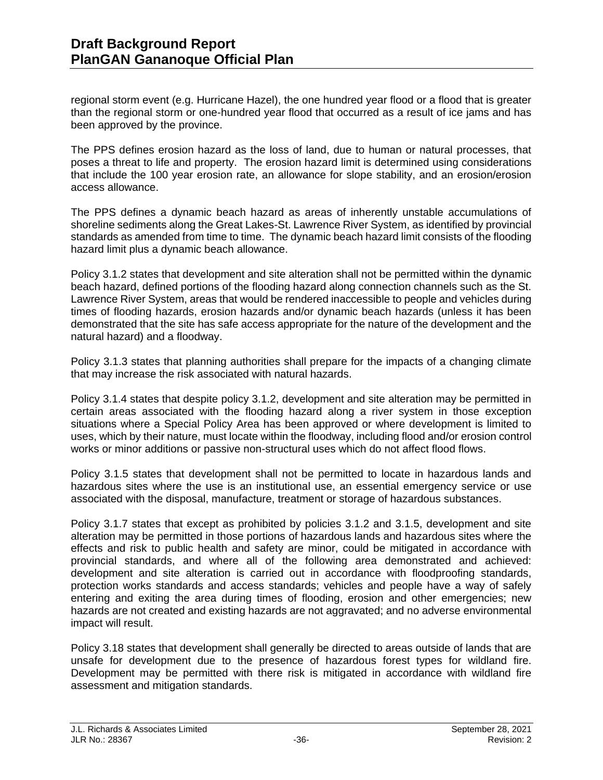regional storm event (e.g. Hurricane Hazel), the one hundred year flood or a flood that is greater than the regional storm or one-hundred year flood that occurred as a result of ice jams and has been approved by the province.

The PPS defines erosion hazard as the loss of land, due to human or natural processes, that poses a threat to life and property. The erosion hazard limit is determined using considerations that include the 100 year erosion rate, an allowance for slope stability, and an erosion/erosion access allowance.

The PPS defines a dynamic beach hazard as areas of inherently unstable accumulations of shoreline sediments along the Great Lakes-St. Lawrence River System, as identified by provincial standards as amended from time to time. The dynamic beach hazard limit consists of the flooding hazard limit plus a dynamic beach allowance.

Policy 3.1.2 states that development and site alteration shall not be permitted within the dynamic beach hazard, defined portions of the flooding hazard along connection channels such as the St. Lawrence River System, areas that would be rendered inaccessible to people and vehicles during times of flooding hazards, erosion hazards and/or dynamic beach hazards (unless it has been demonstrated that the site has safe access appropriate for the nature of the development and the natural hazard) and a floodway.

Policy 3.1.3 states that planning authorities shall prepare for the impacts of a changing climate that may increase the risk associated with natural hazards.

Policy 3.1.4 states that despite policy 3.1.2, development and site alteration may be permitted in certain areas associated with the flooding hazard along a river system in those exception situations where a Special Policy Area has been approved or where development is limited to uses, which by their nature, must locate within the floodway, including flood and/or erosion control works or minor additions or passive non-structural uses which do not affect flood flows.

Policy 3.1.5 states that development shall not be permitted to locate in hazardous lands and hazardous sites where the use is an institutional use, an essential emergency service or use associated with the disposal, manufacture, treatment or storage of hazardous substances.

Policy 3.1.7 states that except as prohibited by policies 3.1.2 and 3.1.5, development and site alteration may be permitted in those portions of hazardous lands and hazardous sites where the effects and risk to public health and safety are minor, could be mitigated in accordance with provincial standards, and where all of the following area demonstrated and achieved: development and site alteration is carried out in accordance with floodproofing standards, protection works standards and access standards; vehicles and people have a way of safely entering and exiting the area during times of flooding, erosion and other emergencies; new hazards are not created and existing hazards are not aggravated; and no adverse environmental impact will result.

Policy 3.18 states that development shall generally be directed to areas outside of lands that are unsafe for development due to the presence of hazardous forest types for wildland fire. Development may be permitted with there risk is mitigated in accordance with wildland fire assessment and mitigation standards.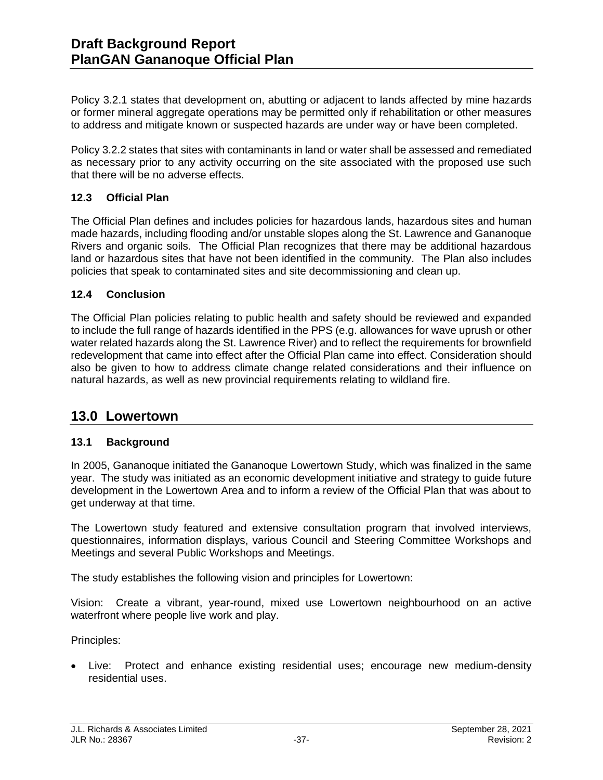Policy 3.2.1 states that development on, abutting or adjacent to lands affected by mine hazards or former mineral aggregate operations may be permitted only if rehabilitation or other measures to address and mitigate known or suspected hazards are under way or have been completed.

Policy 3.2.2 states that sites with contaminants in land or water shall be assessed and remediated as necessary prior to any activity occurring on the site associated with the proposed use such that there will be no adverse effects.

# **12.3 Official Plan**

The Official Plan defines and includes policies for hazardous lands, hazardous sites and human made hazards, including flooding and/or unstable slopes along the St. Lawrence and Gananoque Rivers and organic soils. The Official Plan recognizes that there may be additional hazardous land or hazardous sites that have not been identified in the community. The Plan also includes policies that speak to contaminated sites and site decommissioning and clean up.

### **12.4 Conclusion**

The Official Plan policies relating to public health and safety should be reviewed and expanded to include the full range of hazards identified in the PPS (e.g. allowances for wave uprush or other water related hazards along the St. Lawrence River) and to reflect the requirements for brownfield redevelopment that came into effect after the Official Plan came into effect. Consideration should also be given to how to address climate change related considerations and their influence on natural hazards, as well as new provincial requirements relating to wildland fire.

# **13.0 Lowertown**

# **13.1 Background**

In 2005, Gananoque initiated the Gananoque Lowertown Study, which was finalized in the same year. The study was initiated as an economic development initiative and strategy to guide future development in the Lowertown Area and to inform a review of the Official Plan that was about to get underway at that time.

The Lowertown study featured and extensive consultation program that involved interviews, questionnaires, information displays, various Council and Steering Committee Workshops and Meetings and several Public Workshops and Meetings.

The study establishes the following vision and principles for Lowertown:

Vision: Create a vibrant, year-round, mixed use Lowertown neighbourhood on an active waterfront where people live work and play.

Principles:

• Live: Protect and enhance existing residential uses; encourage new medium-density residential uses.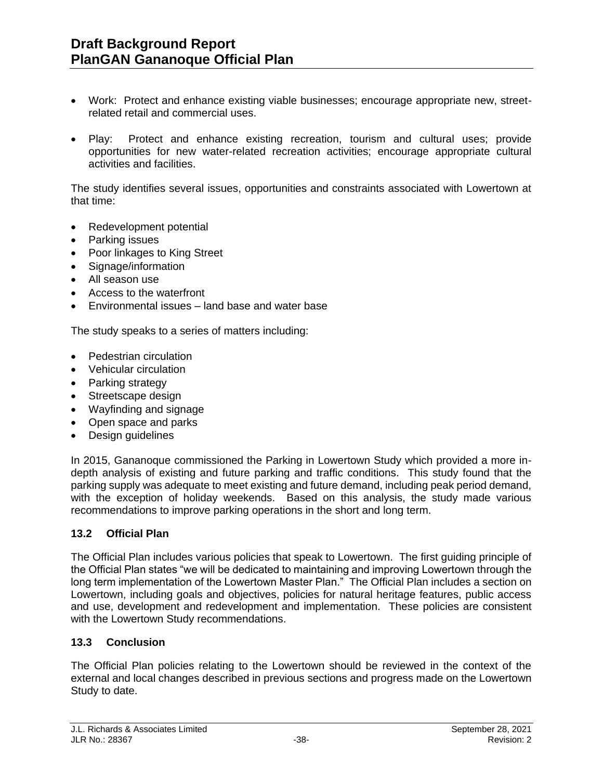- Work: Protect and enhance existing viable businesses; encourage appropriate new, streetrelated retail and commercial uses.
- Play: Protect and enhance existing recreation, tourism and cultural uses; provide opportunities for new water-related recreation activities; encourage appropriate cultural activities and facilities.

The study identifies several issues, opportunities and constraints associated with Lowertown at that time:

- Redevelopment potential
- Parking issues
- Poor linkages to King Street
- Signage/information
- All season use
- Access to the waterfront
- Environmental issues land base and water base

The study speaks to a series of matters including:

- Pedestrian circulation
- Vehicular circulation
- Parking strategy
- Streetscape design
- Wayfinding and signage
- Open space and parks
- Design guidelines

In 2015, Gananoque commissioned the Parking in Lowertown Study which provided a more indepth analysis of existing and future parking and traffic conditions. This study found that the parking supply was adequate to meet existing and future demand, including peak period demand, with the exception of holiday weekends. Based on this analysis, the study made various recommendations to improve parking operations in the short and long term.

#### **13.2 Official Plan**

The Official Plan includes various policies that speak to Lowertown. The first guiding principle of the Official Plan states "we will be dedicated to maintaining and improving Lowertown through the long term implementation of the Lowertown Master Plan." The Official Plan includes a section on Lowertown, including goals and objectives, policies for natural heritage features, public access and use, development and redevelopment and implementation. These policies are consistent with the Lowertown Study recommendations.

#### **13.3 Conclusion**

The Official Plan policies relating to the Lowertown should be reviewed in the context of the external and local changes described in previous sections and progress made on the Lowertown Study to date.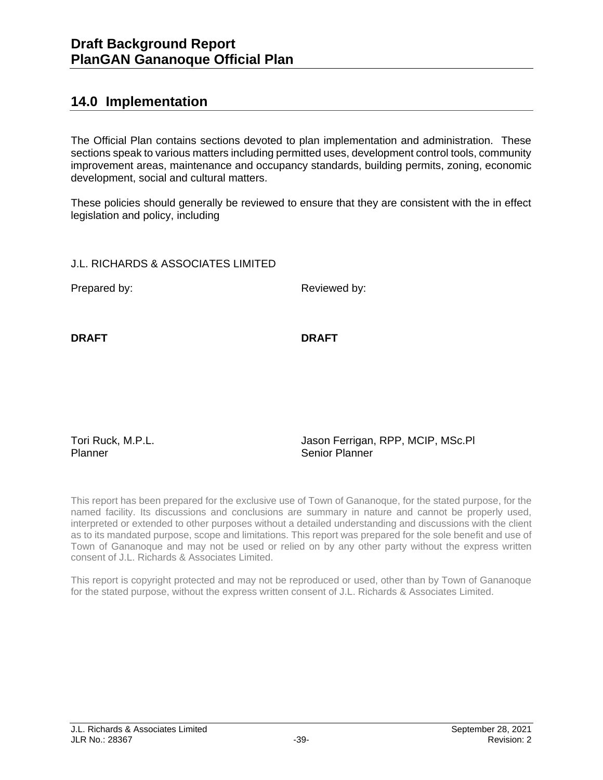# **14.0 Implementation**

The Official Plan contains sections devoted to plan implementation and administration. These sections speak to various matters including permitted uses, development control tools, community improvement areas, maintenance and occupancy standards, building permits, zoning, economic development, social and cultural matters.

These policies should generally be reviewed to ensure that they are consistent with the in effect legislation and policy, including

J.L. RICHARDS & ASSOCIATES LIMITED

Prepared by: Reviewed by:

**DRAFT DRAFT**

Tori Ruck, M.P.L. Planner

Jason Ferrigan, RPP, MCIP, MSc.Pl Senior Planner

This report has been prepared for the exclusive use of Town of Gananoque, for the stated purpose, for the named facility. Its discussions and conclusions are summary in nature and cannot be properly used, interpreted or extended to other purposes without a detailed understanding and discussions with the client as to its mandated purpose, scope and limitations. This report was prepared for the sole benefit and use of Town of Gananoque and may not be used or relied on by any other party without the express written consent of J.L. Richards & Associates Limited.

This report is copyright protected and may not be reproduced or used, other than by Town of Gananoque for the stated purpose, without the express written consent of J.L. Richards & Associates Limited.